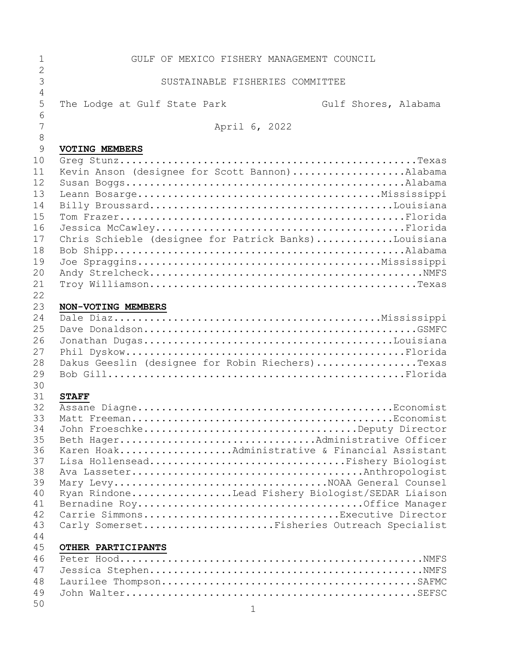| 1              | GULF OF MEXICO FISHERY MANAGEMENT COUNCIL                                       |
|----------------|---------------------------------------------------------------------------------|
| $\mathbf{2}$   |                                                                                 |
| 3              | SUSTAINABLE FISHERIES COMMITTEE                                                 |
| $\overline{4}$ |                                                                                 |
| 5              | The Lodge at Gulf State Park<br>Gulf Shores, Alabama                            |
| 6              |                                                                                 |
| 7              | April 6, 2022                                                                   |
| $\,8\,$        |                                                                                 |
| 9              | <b>VOTING MEMBERS</b>                                                           |
| 10             |                                                                                 |
| 11             | Kevin Anson (designee for Scott Bannon)Alabama                                  |
| 12             |                                                                                 |
| 13             |                                                                                 |
| 14             |                                                                                 |
| 15             |                                                                                 |
| 16             |                                                                                 |
| 17             | Chris Schieble (designee for Patrick Banks)Louisiana                            |
| 18             |                                                                                 |
| 19             |                                                                                 |
| 20             |                                                                                 |
| 21<br>22       |                                                                                 |
| 23             |                                                                                 |
| 24             |                                                                                 |
| 25             |                                                                                 |
| 26             |                                                                                 |
| 27             |                                                                                 |
| 28             | Dakus Geeslin (designee for Robin Riechers)Texas                                |
| 29             |                                                                                 |
| 30             |                                                                                 |
| 31             | <b>STAFF</b>                                                                    |
| 32             |                                                                                 |
| 33             |                                                                                 |
| 34             |                                                                                 |
| 35             | Beth HagerAdministrative Officer                                                |
| 36             | Karen HoakAdministrative & Financial Assistant                                  |
| 37             | Lisa HollenseadFishery Biologist                                                |
| 38             |                                                                                 |
| 39             | Mary LevyNOAA General Counsel                                                   |
| 40             | Ryan RindoneLead Fishery Biologist/SEDAR Liaison                                |
| 41             |                                                                                 |
| 42<br>43       | Carrie SimmonsExecutive Director<br>Carly SomersetFisheries Outreach Specialist |
| 44             |                                                                                 |
| 45             | OTHER PARTICIPANTS                                                              |
| 46             |                                                                                 |
| 47             |                                                                                 |
| 48             |                                                                                 |
| 49             |                                                                                 |
| 50             |                                                                                 |
|                | $\mathbf{1}$                                                                    |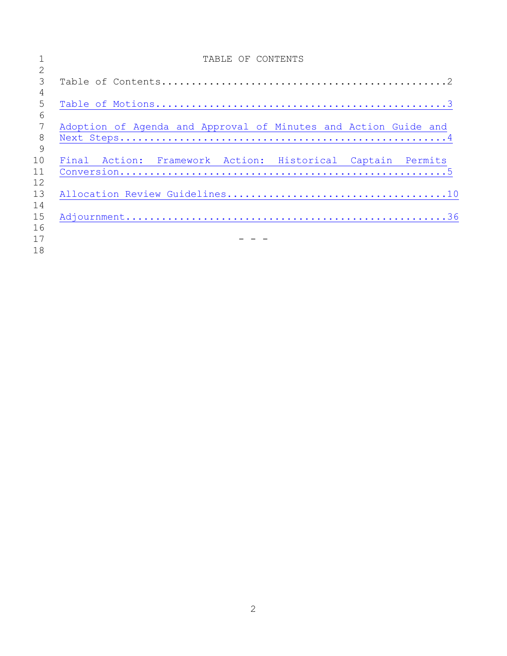|                | TABLE OF CONTENTS                                               |
|----------------|-----------------------------------------------------------------|
| 2              |                                                                 |
| 3              |                                                                 |
| $\overline{4}$ |                                                                 |
| 5              |                                                                 |
| 6              |                                                                 |
| 7              | Adoption of Agenda and Approval of Minutes and Action Guide and |
| 8              |                                                                 |
| 9              |                                                                 |
| 10             | Final Action: Framework Action: Historical Captain Permits      |
| 11             |                                                                 |
| 12             |                                                                 |
| 13             |                                                                 |
| 14             |                                                                 |
| 15             |                                                                 |
| 16             |                                                                 |
| 17             |                                                                 |
| 18             |                                                                 |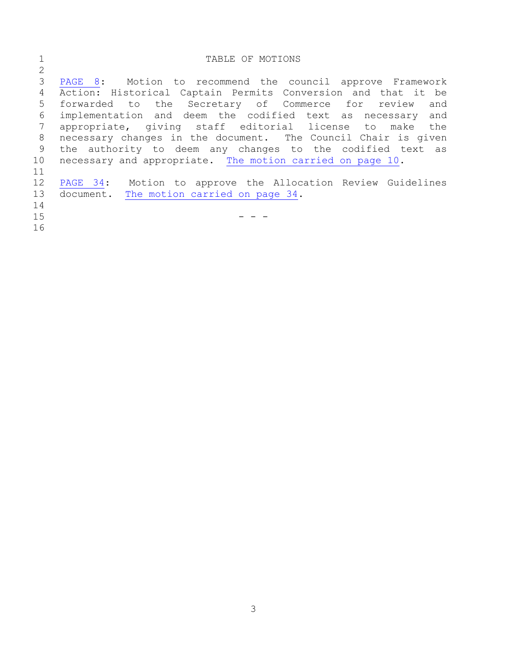<span id="page-2-0"></span>

| PAGE 8: Motion to recommend the council approve Framework     |
|---------------------------------------------------------------|
|                                                               |
|                                                               |
| Action: Historical Captain Permits Conversion and that it be  |
| forwarded to the Secretary of Commerce for review<br>and      |
| implementation and deem the codified text as necessary and    |
| appropriate, giving staff editorial license to make the       |
| necessary changes in the document. The Council Chair is given |
| the authority to deem any changes to the codified text as     |
| necessary and appropriate. The motion carried on page 10.     |
|                                                               |
| PAGE 34: Motion to approve the Allocation Review Guidelines   |
|                                                               |
|                                                               |
|                                                               |
|                                                               |
|                                                               |
|                                                               |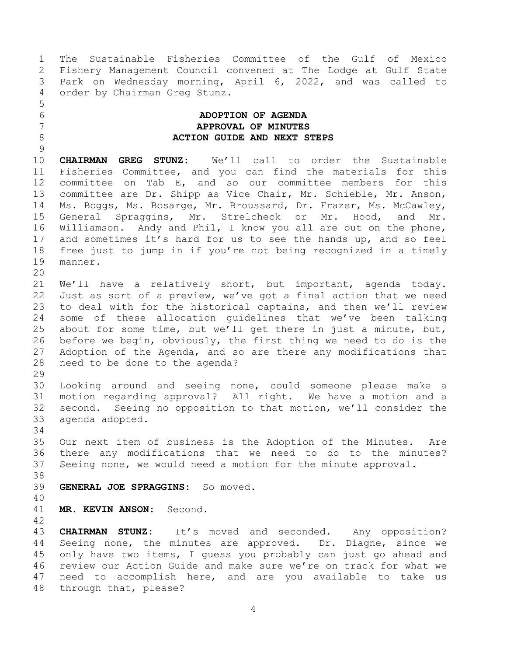1 The Sustainable Fisheries Committee of the Gulf of Mexico<br>2 Fishery Management Council convened at The Lodge at Gulf State 2 Fishery Management Council convened at The Lodge at Gulf State<br>3 Park on Wednesday morning, April 6, 2022, and was called to 3 Park on Wednesday morning, April 6, 2022, and was called to<br>4 order by Chairman Greg Stunz. order by Chairman Greg Stunz.

## <span id="page-3-0"></span>6 **ADOPTION OF AGENDA** 7 **APPROVAL OF MINUTES** 8 **ACTION GUIDE AND NEXT STEPS**

 $\begin{array}{c} 9 \\ 10 \end{array}$ 10 **CHAIRMAN GREG STUNZ:** We'll call to order the Sustainable 11 Fisheries Committee, and you can find the materials for this<br>12 committee on Tab E, and so our committee members for this 12 committee on Tab E, and so our committee members for this<br>13 committee are Dr. Shipp as Vice Chair, Mr. Schieble, Mr. Anson, 13 committee are Dr. Shipp as Vice Chair, Mr. Schieble, Mr. Anson,<br>14 Ms. Boggs, Ms. Bosarge, Mr. Broussard, Dr. Frazer, Ms. McCawley, 14 Ms. Boggs, Ms. Bosarge, Mr. Broussard, Dr. Frazer, Ms. McCawley,<br>15 General Spraggins, Mr. Strelcheck or Mr. Hood, and Mr. 15 General Spraggins, Mr. Strelcheck or Mr. Hood, and Mr.<br>16 Williamson. Andy and Phil, I know you all are out on the phone, Williamson. Andy and Phil, I know you all are out on the phone, 17 and sometimes it's hard for us to see the hands up, and so feel<br>18 free just to jump in if you're not being recognized in a timely 18 free just to jump in if you're not being recognized in a timely<br>19 manner. manner.

20<br>21 21 We'll have a relatively short, but important, agenda today.<br>22 Just as sort of a preview, we've got a final action that we need 22 Just as sort of a preview, we've got a final action that we need<br>23 to deal with for the historical captains, and then we'll review to deal with for the historical captains, and then we'll review 24 some of these allocation guidelines that we've been talking<br>25 about for some time, but we'll get there in just a minute, but, 25 about for some time, but we'll get there in just a minute, but,<br>26 before we begin, obviously, the first thing we need to do is the 26 before we begin, obviously, the first thing we need to do is the<br>27 Adoption of the Agenda, and so are there any modifications that 27 Adoption of the Agenda, and so are there any modifications that<br>28 need to be done to the agenda? need to be done to the agenda?

29<br>30

5

30 Looking around and seeing none, could someone please make a<br>31 motion regarding approval? All right. We have a motion and a motion regarding approval? All right. We have a motion and a 32 second. Seeing no opposition to that motion, we'll consider the 33 agenda adopted. agenda adopted.

34<br>35

35 Our next item of business is the Adoption of the Minutes. Are<br>36 there any modifications that we need to do to the minutes? 36 there any modifications that we need to do to the minutes?<br>37 Seeing none, we would need a motion for the minute approval. Seeing none, we would need a motion for the minute approval.

38<br>39

39 **GENERAL JOE SPRAGGINS:** So moved.

40

41 **MR. KEVIN ANSON:** Second.

42

43 **CHAIRMAN STUNZ:** It's moved and seconded. Any opposition?<br>44 Seeing none, the minutes are approved. Dr. Diagne, since we 44 Seeing none, the minutes are approved. Dr. Diagne, since we<br>45 only have two items, I quess you probably can just go ahead and 45 only have two items, I guess you probably can just go ahead and<br>46 review our Action Guide and make sure we're on track for what we 46 review our Action Guide and make sure we're on track for what we<br>47 need to accomplish here, and are you available to take us need to accomplish here, and are you available to take us 48 through that, please?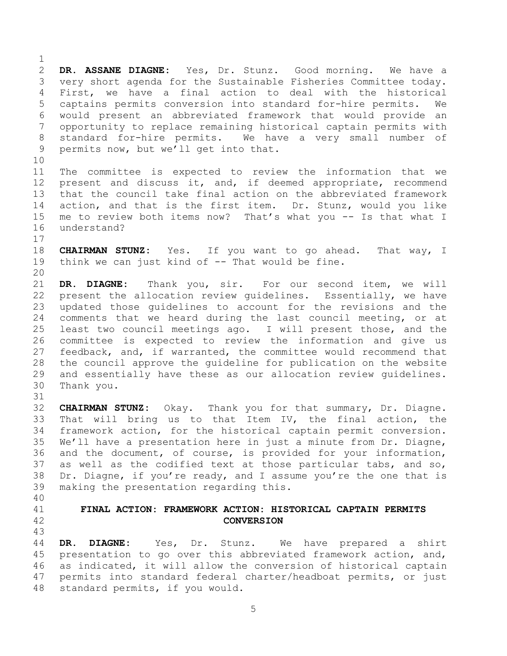$\frac{1}{2}$ 2 **DR. ASSANE DIAGNE:** Yes, Dr. Stunz. Good morning. We have a 3 very short agenda for the Sustainable Fisheries Committee today.<br>4 First, we have a final action to deal with the historical 4 First, we have a final action to deal with the historical<br>5 captains permits conversion into standard for-hire permits. We 5 captains permits conversion into standard for-hire permits.<br>6 would present an abbreviated framework that would provide 6 would present an abbreviated framework that would provide an 7 opportunity to replace remaining historical captain permits with 8 standard for-hire permits. We have a very small number of<br>9 permits now, but we'll get into that. permits now, but we'll get into that. 10<br>11 11 The committee is expected to review the information that we<br>12 present and discuss it, and, if deemed appropriate, recommend 12 present and discuss it, and, if deemed appropriate, recommend<br>13 that the council take final action on the abbreviated framework 13 that the council take final action on the abbreviated framework<br>14 action, and that is the first item. Dr. Stunz, would you like 14 action, and that is the first item. Dr. Stunz, would you like<br>15 me to review both items now? That's what you -- Is that what I 15 me to review both items now? That's what you -- Is that what I<br>16 understand? understand?  $\begin{array}{c} 17 \\ 18 \end{array}$ 18 **CHAIRMAN STUNZ:** Yes. If you want to go ahead. That way, I<br>19 think we can just kind of -- That would be fine. think we can just kind of  $-$ - That would be fine. 20<br>21 21 **DR. DIAGNE:** Thank you, sir. For our second item, we will 22 present the allocation review guidelines. Essentially, we have<br>23 updated those guidelines to account for the revisions and the updated those quidelines to account for the revisions and the 24 comments that we heard during the last council meeting, or at<br>25 least two council meetings ago. I will present those, and the

25 least two council meetings ago. I will present those, and the<br>26 committee is expected to review the information and give us 26 committee is expected to review the information and give us<br>27 feedback, and, if warranted, the committee would recommend that 27 feedback, and, if warranted, the committee would recommend that<br>28 the council approve the quideline for publication on the website 28 the council approve the guideline for publication on the website<br>29 and essentially have these as our allocation review quidelines. 29 and essentially have these as our allocation review guidelines.<br>30 Thank vou. Thank you.

32 **CHAIRMAN STUNZ:** Okay. Thank you for that summary, Dr. Diagne. 33 That will bring us to that Item IV, the final action, the<br>34 framework action, for the historical captain permit conversion. 34 framework action, for the historical captain permit conversion.<br>35 We'll have a presentation here in just a minute from Dr. Diagne, 35 We'll have a presentation here in just a minute from Dr. Diagne,<br>36 and the document, of course, is provided for vour information, 36 and the document, of course, is provided for your information,<br>37 as well as the codified text at those particular tabs, and so, 37 as well as the codified text at those particular tabs, and so,<br>38 Dr. Diagne, if you're ready, and I assume you're the one that is 38 Dr. Diagne, if you're ready, and I assume you're the one that is  $\frac{39}{100}$  making the presentation regarding this. making the presentation regarding this.

40

31

## <span id="page-4-0"></span>41 **FINAL ACTION: FRAMEWORK ACTION: HISTORICAL CAPTAIN PERMITS** 42 **CONVERSION**

43 44 **DR. DIAGNE:** Yes, Dr. Stunz. We have prepared a shirt 45 presentation to go over this abbreviated framework action, and,<br>46 as indicated, it will allow the conversion of historical captain 46 as indicated, it will allow the conversion of historical captain<br>47 permits into standard federal charter/headboat permits, or just permits into standard federal charter/headboat permits, or just 48 standard permits, if you would.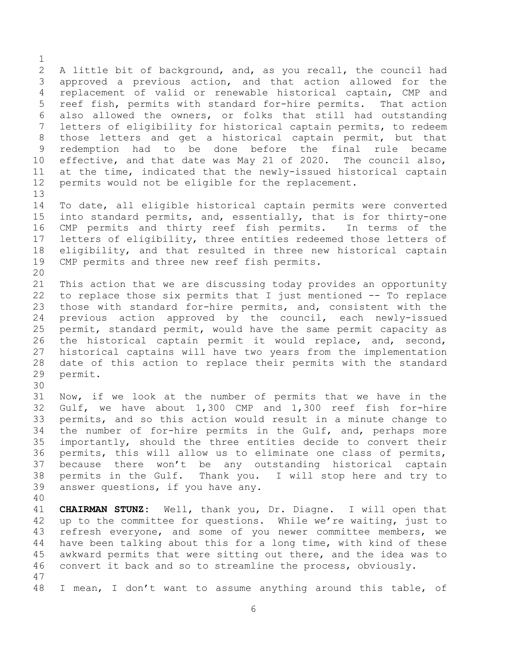$\frac{1}{2}$ 2 A little bit of background, and, as you recall, the council had<br>3 approved a previous action, and that action allowed for the 3 approved a previous action, and that action allowed for the<br>4 replacement of valid or renewable historical captain, CMP and 4 replacement of valid or renewable historical captain, CMP and<br>5 reef fish, permits with standard for-hire permits. That action 5 reef fish, permits with standard for-hire permits.<br>6 also allowed the owners, or folks that still had 6 also allowed the owners, or folks that still had outstanding<br>7 letters of eligibility for historical captain permits, to redeem letters of eligibility for historical captain permits, to redeem 8 those letters and get a historical captain permit, but that<br>9 redemption had to be done before the final rule became 9 redemption had to be done before the final rule<br>10 effective, and that date was May 21 of 2020. The counci 10 effective, and that date was May 21 of 2020. The council also,<br>11 at the time, indicated that the newly-issued historical captain 11 at the time, indicated that the newly-issued historical captain<br>12 permits would not be eligible for the replacement. permits would not be eligible for the replacement.

13<br>14 14 To date, all eligible historical captain permits were converted<br>15 into standard permits, and, essentially, that is for thirty-one 15 into standard permits, and, essentially, that is for thirty-one<br>16 CMP permits and thirty reef fish permits. In terms of the CMP permits and thirty reef fish permits. 17 letters of eligibility, three entities redeemed those letters of<br>18 eligibility, and that resulted in three new historical captain 18 eligibility, and that resulted in three new historical captain<br>19 CMP permits and three new reef fish permits. CMP permits and three new reef fish permits.

20<br>21 21 This action that we are discussing today provides an opportunity<br>22 to replace those six permits that I just mentioned -- To replace 22 to replace those six permits that I just mentioned -- To replace<br>23 those with standard for-hire permits, and, consistent with the those with standard for-hire permits, and, consistent with the 24 previous action approved by the council, each newly-issued<br>25 permit, standard permit, would have the same permit capacity as 25 permit, standard permit, would have the same permit capacity as<br>26 the historical captain permit it would replace, and, second, 26 the historical captain permit it would replace, and, second,<br>27 historical captains will have two years from the implementation 27 historical captains will have two years from the implementation<br>28 date of this action to replace their permits with the standard 28 date of this action to replace their permits with the standard<br>29 permit. permit.

30<br>31 Now, if we look at the number of permits that we have in the 32 Gulf, we have about 1,300 CMP and 1,300 reef fish for-hire<br>33 permits, and so this action would result in a minute change to 33 permits, and so this action would result in a minute change to<br>34 the number of for-hire permits in the Gulf, and, perhaps more 34 the number of for-hire permits in the Gulf, and, perhaps more<br>35 importantly, should the three entities decide to convert their 35 importantly, should the three entities decide to convert their<br>36 permits, this will allow us to eliminate one class of permits, 36 permits, this will allow us to eliminate one class of permits,<br>37 because there won't be any outstanding historical captain 37 because there won't be any outstanding historical captain<br>38 permits in the Gulf. Thank you. I will stop here and try to 38 permits in the Gulf. Thank you.<br>39 answer questions, if you have any. answer questions, if you have any.

40

41 **CHAIRMAN STUNZ:** Well, thank you, Dr. Diagne. I will open that 42 up to the committee for questions. While we're waiting, just to<br>43 refresh everyone, and some of you newer committee members, we 43 refresh everyone, and some of you newer committee members, we<br>44 have been talking about this for a long time, with kind of these 44 have been talking about this for a long time, with kind of these<br>45 awkward permits that were sitting out there, and the idea was to 45 awkward permits that were sitting out there, and the idea was to<br>46 convert it back and so to streamline the process, obviously. convert it back and so to streamline the process, obviously. 47

48 I mean, I don't want to assume anything around this table, of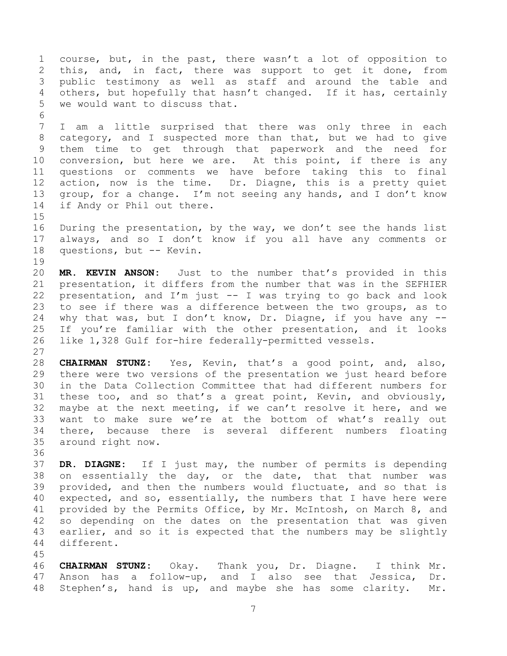1 course, but, in the past, there wasn't a lot of opposition to<br>2 this, and, in fact, there was support to get it done, from 2 this, and, in fact, there was support to get it done, from<br>3 public testimony as well as staff and around the table and 3 public testimony as well as staff and around the table and<br>4 others, but hopefully that hasn't changed. If it has, certainly 4 others, but hopefully that hasn't changed. If it has, certainly<br>5 we would want to discuss that. we would want to discuss that. 6<br>7 I am a little surprised that there was only three in each 8 category, and I suspected more than that, but we had to give<br>9 them time to get through that paperwork and the need for 9 them time to get through that paperwork and the need for<br>10 conversion, but here we are. At this point, if there is any 10 conversion, but here we are. At this point, if there is any<br>11 questions or comments we have before taking this to final 11 questions or comments we have before taking this to final<br>12 action, now is the time. Dr. Diagne, this is a pretty quiet 12 action, now is the time. Dr. Diagne, this is a pretty quiet<br>13 group, for a change. I'm not seeing any hands, and I don't know 13 group, for a change. I'm not seeing any hands, and I don't know<br>14 if Andy or Phil out there. if Andy or Phil out there.  $\frac{15}{16}$ During the presentation, by the way, we don't see the hands list 17 always, and so I don't know if you all have any comments or<br>18 questions, but -- Kevin. questions, but -- Kevin. 19<br>20 20 **MR. KEVIN ANSON:** Just to the number that's provided in this 21 presentation, it differs from the number that was in the SEFHIER<br>22 presentation, and I'm just  $-$  I was trying to go back and look 22 presentation, and I'm just  $-$  I was trying to go back and look<br>23 to see if there was a difference between the two groups, as to to see if there was a difference between the two groups, as to 24 why that was, but I don't know, Dr. Diagne, if you have any --<br>25 If you're familiar with the other presentation, and it looks 25 If you're familiar with the other presentation, and it looks<br>26 like 1,328 Gulf for-hire federally-permitted vessels. like 1,328 Gulf for-hire federally-permitted vessels.  $\frac{27}{28}$ 28 **CHAIRMAN STUNZ:** Yes, Kevin, that's a good point, and, also,<br>29 there were two versions of the presentation we just heard before 29 there were two versions of the presentation we just heard before<br>30 in the Data Collection Committee that had different numbers for 30 in the Data Collection Committee that had different numbers for<br>31 these too, and so that's a great point, Kevin, and obviously, these too, and so that's a great point, Kevin, and obviously, 32 maybe at the next meeting, if we can't resolve it here, and we<br>33 want to make sure we're at the bottom of what's really out 33 want to make sure we're at the bottom of what's really out<br>34 there, because there is several different numbers floating 34 there, because there is several different numbers floating<br>35 around right now. around right now. 36<br>37 37 **DR. DIAGNE:** If I just may, the number of permits is depending 38 on essentially the day, or the date, that that number was<br>39 provided, and then the numbers would fluctuate, and so that is provided, and then the numbers would fluctuate, and so that is 40 expected, and so, essentially, the numbers that I have here were<br>41 provided by the Permits Office, by Mr. McIntosh, on March 8, and 41 provided by the Permits Office, by Mr. McIntosh, on March 8, and<br>42 so depending on the dates on the presentation that was given 42 so depending on the dates on the presentation that was given<br>43 earlier, and so it is expected that the numbers may be slightly 43 earlier, and so it is expected that the numbers may be slightly 44 different. different.

45 46 **CHAIRMAN STUNZ:** Okay. Thank you, Dr. Diagne. I think Mr. Anson has a follow-up, and I also see that Jessica, Dr. 48 Stephen's, hand is up, and maybe she has some clarity. Mr.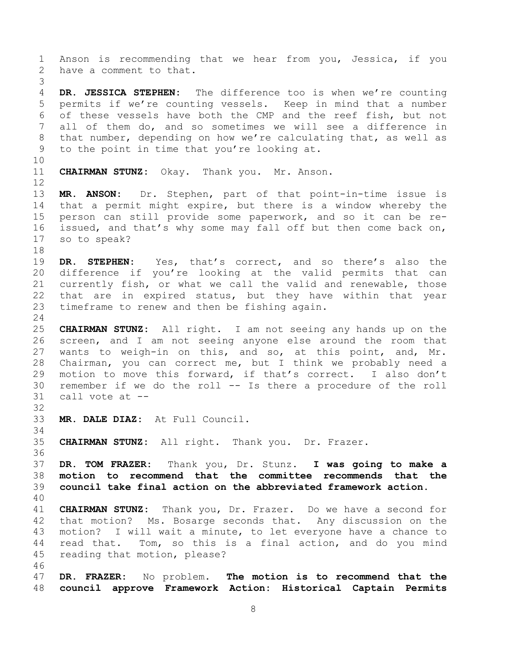<span id="page-7-0"></span>1 Anson is recommending that we hear from you, Jessica, if you<br>2 have a comment to that. have a comment to that. 3 4 **DR. JESSICA STEPHEN:** The difference too is when we're counting 5 permits if we're counting vessels. Keep in mind that a number<br>6 of these vessels have both the CMP and the reef fish, but not 6 of these vessels have both the CMP and the reef fish, but not<br>7 all of them do, and so sometimes we will see a difference in all of them do, and so sometimes we will see a difference in 8 that number, depending on how we're calculating that, as well as to the point in time that you're looking at. to the point in time that you're looking at. 10<br>11 **CHAIRMAN STUNZ:** Okay. Thank you. Mr. Anson.  $\begin{array}{c} 12 \\ 13 \end{array}$ 13 **MR. ANSON:** Dr. Stephen, part of that point-in-time issue is 14 that a permit might expire, but there is a window whereby the<br>15 person can still provide some paperwork, and so it can be re-15 person can still provide some paperwork, and so it can be re-<br>16 issued, and that's why some may fall off but then come back on, issued, and that's why some may fall off but then come back on, 17 so to speak? 18<br>19 19 **DR. STEPHEN:** Yes, that's correct, and so there's also the<br>20 difference if you're looking at the valid permits that can 20 difference if you're looking at the valid permits that can<br>21 currently fish, or what we call the valid and renewable, those 21 currently fish, or what we call the valid and renewable, those<br>22 that are in expired status, but they have within that vear 22 that are in expired status, but they have within that year<br>23 timeframe to renew and then be fishing again. timeframe to renew and then be fishing again.  $\frac{24}{25}$ 25 **CHAIRMAN STUNZ:** All right. I am not seeing any hands up on the 26 screen, and I am not seeing anyone else around the room that<br>27 wants to weigh-in on this, and so, at this point, and, Mr. 27 wants to weigh-in on this, and so, at this point, and, Mr.<br>28 Chairman, you can correct me, but I think we probably need a 28 Chairman, you can correct me, but I think we probably need a<br>29 motion to move this forward, if that's correct. I also don't 29 motion to move this forward, if that's correct. I also don't<br>30 remember if we do the roll -- Is there a procedure of the roll 30 remember if we do the roll  $--$  Is there a procedure of the roll  $-31$  call vote at  $-$ call vote at  $-$ 32<br>33 33 **MR. DALE DIAZ:** At Full Council. 34<br>35 35 **CHAIRMAN STUNZ:** All right. Thank you. Dr. Frazer. 36<br>37 37 **DR. TOM FRAZER:** Thank you, Dr. Stunz. **I was going to make a** 38 **motion to recommend that the committee recommends that the** 39 **council take final action on the abbreviated framework action.** 40 41 **CHAIRMAN STUNZ:** Thank you, Dr. Frazer. Do we have a second for 42 that motion? Ms. Bosarge seconds that. Any discussion on the<br>43 motion? I will wait a minute, to let everyone have a chance to 43 motion? I will wait a minute, to let everyone have a chance to<br>44 read that. Tom, so this is a final action, and do you mind 44 read that. Tom, so this is a final action, and do you mind<br>45 reading that motion, please? reading that motion, please? 46<br>47 47 **DR. FRAZER:** No problem. **The motion is to recommend that the** 48 **council approve Framework Action: Historical Captain Permits**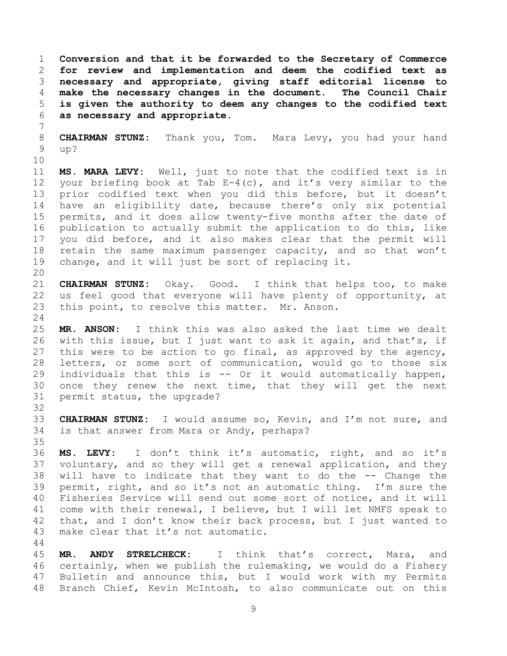**Conversion and that it be forwarded to the Secretary of Commerce for review and implementation and deem the codified text as necessary and appropriate, giving staff editorial license to make** the necessary changes in the document.<br>5 is given the authority to deem any changes t **is given the authority to deem any changes to the codified text as necessary and appropriate.**

8 **CHAIRMAN STUNZ:** Thank you, Tom. Mara Levy, you had your hand up?

7

10<br>11 11 **MS. MARA LEVY:** Well, just to note that the codified text is in 12 your briefing book at Tab E-4(c), and it's very similar to the<br>13 prior codified text when vou did this before, but it doesn't 13 prior codified text when you did this before, but it doesn't<br>14 have an eligibility date, because there's only six potential 14 have an eligibility date, because there's only six potential<br>15 permits, and it does allow twenty-five months after the date of 15 permits, and it does allow twenty-five months after the date of<br>16 publication to actually submit the application to do this, like publication to actually submit the application to do this, like 17 you did before, and it also makes clear that the permit will<br>18 retain the same maximum passenger capacity, and so that won't 18 retain the same maximum passenger capacity, and so that won't<br>19 change, and it will just be sort of replacing it. change, and it will just be sort of replacing it.

20<br>21 21 **CHAIRMAN STUNZ:** Okay. Good. I think that helps too, to make 22 us feel good that everyone will have plenty of opportunity, at<br>23 this point, to resolve this matter. Mr. Anson. this point, to resolve this matter. Mr. Anson.

 $\frac{24}{25}$ 25 **MR. ANSON:** I think this was also asked the last time we dealt<br>26 with this issue, but I just want to ask it again, and that's, if 26 with this issue, but I just want to ask it again, and that's, if<br>27 this were to be action to go final, as approved by the agency, 27 this were to be action to go final, as approved by the agency,<br>28 letters, or some sort of communication, would go to those six 28 letters, or some sort of communication, would go to those six<br>29 individuals that this is -- Or it would automatically happen, 29 individuals that this is  $--$  Or it would automatically happen,<br>30 once they renew the next time, that they will get the next 30 once they renew the next time, that they will get the next<br>31 permit status, the upgrade? permit status, the upgrade?

32<br>33 33 **CHAIRMAN STUNZ:** I would assume so, Kevin, and I'm not sure, and 34 is that answer from Mara or Andy, perhaps? is that answer from Mara or Andy, perhaps?

35<br>36 36 **MS. LEVY:** I don't think it's automatic, right, and so it's 37 voluntary, and so they will get a renewal application, and they<br>38 will have to indicate that they want to do the -- Change the 38 will have to indicate that they want to do the -- Change the<br>39 permit, right, and so it's not an automatic thing. I'm sure the permit, right, and so it's not an automatic thing. I'm sure the 40 Fisheries Service will send out some sort of notice, and it will<br>41 come with their renewal, I believe, but I will let NMFS speak to 41 come with their renewal, I believe, but I will let NMFS speak to<br>42 that, and I don't know their back process, but I just wanted to 42 that, and I don't know their back process, but I just wanted to 43 make clear that it's not automatic. make clear that it's not automatic.

 $\begin{array}{c} 44 \\ 45 \end{array}$ 45 **MR. ANDY STRELCHECK:** I think that's correct, Mara, and 46 certainly, when we publish the rulemaking, we would do a Fishery<br>47 Bulletin and announce this, but I would work with my Permits Bulletin and announce this, but I would work with my Permits 48 Branch Chief, Kevin McIntosh, to also communicate out on this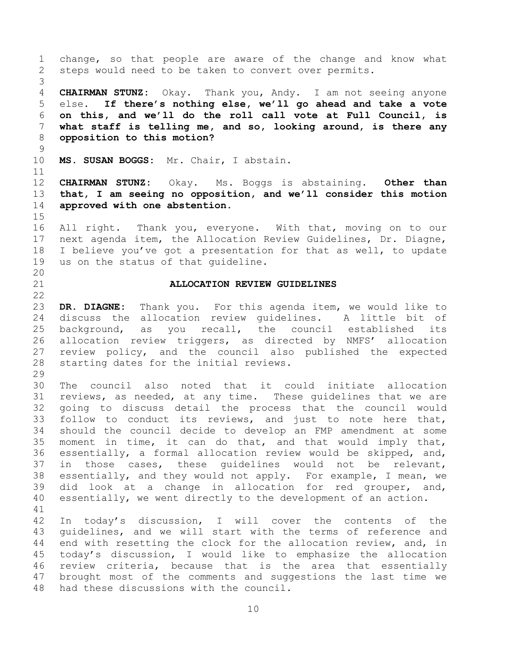<span id="page-9-1"></span><span id="page-9-0"></span>1 change, so that people are aware of the change and know what<br>2 steps would need to be taken to convert over permits. steps would need to be taken to convert over permits. 3 4 **CHAIRMAN STUNZ:** Okay. Thank you, Andy. I am not seeing anyone<br>5 else. If there's nothing else, we'll go ahead and take a vote 5 else. **If there's nothing else, we'll go ahead and take a vote** 6 **on this, and we'll do the roll call vote at Full Council, is** 7 **what staff is telling me, and so, looking around, is there any** 8 **opposition to this motion?**  $\begin{array}{c} 9 \\ 10 \end{array}$ 10 **MS. SUSAN BOGGS:** Mr. Chair, I abstain. 11<br>12 12 **CHAIRMAN STUNZ:** Okay. Ms. Boggs is abstaining. **Other than** 13 **that, I am seeing no opposition, and we'll consider this motion** 14 **approved with one abstention.**  $\frac{15}{16}$ All right. Thank you, everyone. With that, moving on to our 17 next agenda item, the Allocation Review Guidelines, Dr. Diagne,<br>18 I believe you've got a presentation for that as well, to update 18 I believe you've got a presentation for that as well, to update<br>19 us on the status of that quideline. us on the status of that guideline. 20<br>21 21 **ALLOCATION REVIEW GUIDELINES**  $\frac{22}{23}$ 23 **DR. DIAGNE:** Thank you. For this agenda item, we would like to 24 discuss the allocation review guidelines. A little bit of<br>25 background, as you recall, the council established its 25 background, as you recall, the council established its<br>26 allocation review triggers, as directed by NMFS' allocation 26 allocation review triggers, as directed by NMFS' allocation<br>27 review policy, and the council also published the expected 27 review policy, and the council also published the expected<br>28 starting dates for the initial reviews. starting dates for the initial reviews.  $\frac{29}{30}$ 30 The council also noted that it could initiate allocation<br>31 reviews, as needed, at any time. These quidelines that we are reviews, as needed, at any time. These quidelines that we are 32 going to discuss detail the process that the council would<br>33 follow to conduct its reviews, and just to note here that, 33 follow to conduct its reviews, and just to note here that,<br>34 should the council decide to develop an FMP amendment at some 34 should the council decide to develop an FMP amendment at some<br>35 moment in time, it can do that, and that would imply that, 35 moment in time, it can do that, and that would imply that,<br>36 essentially, a formal allocation review would be skipped, and, 36 essentially, a formal allocation review would be skipped, and,<br>37 in those cases, these quidelines would not be relevant, 37 in those cases, these guidelines would not be relevant,<br>38 essentially, and they would not apply. For example, I mean, we 38 essentially, and they would not apply. For example, I mean, we<br>39 did look at a change in allocation for red grouper, and, did look at a change in allocation for red grouper, and, 40 essentially, we went directly to the development of an action. 41<br>42 42 In today's discussion, I will cover the contents of the<br>43 quidelines, and we will start with the terms of reference and 43 guidelines, and we will start with the terms of reference and<br>44 end with resetting the clock for the allocation review, and, in 44 end with resetting the clock for the allocation review, and, in<br>45 today's discussion, I would like to emphasize the allocation 45 today's discussion, I would like to emphasize the allocation<br>46 review criteria, because that is the area that essentially 46 review criteria, because that is the area that essentially<br>47 brought most of the comments and suggestions the last time we brought most of the comments and suggestions the last time we 48 had these discussions with the council.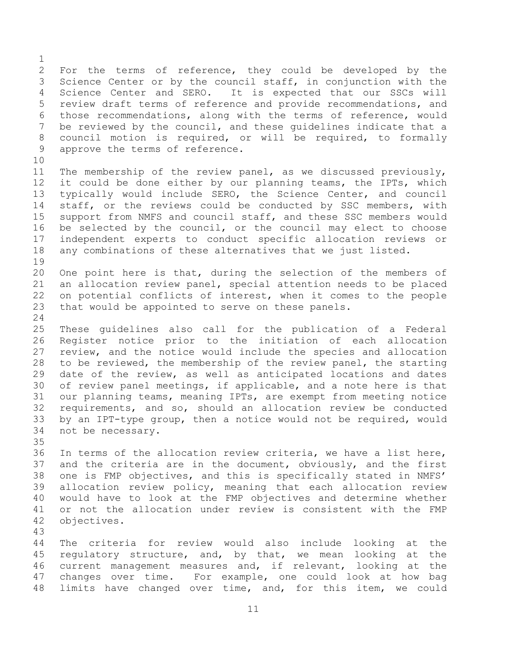$\frac{1}{2}$ 2 For the terms of reference, they could be developed by the<br>3 Science Center or by the council staff, in conjunction with the 3 Science Center or by the council staff, in conjunction with the<br>4 Science Center and SERO. It is expected that our SSCs will 4 Science Center and SERO. It is expected that our SSCs will<br>5 review draft terms of reference and provide recommendations, and 5 review draft terms of reference and provide recommendations, and<br>6 those recommendations, along with the terms of reference, would 6 those recommendations, along with the terms of reference, would<br>7 be reviewed by the council, and these quidelines indicate that a be reviewed by the council, and these quidelines indicate that a 8 council motion is required, or will be required, to formally<br>9 approve the terms of reference. approve the terms of reference.

10<br>11 11 The membership of the review panel, as we discussed previously,<br>12 it could be done either by our planning teams, the IPTs, which 12 it could be done either by our planning teams, the IPTs, which<br>13 typically would include SERO, the Science Center, and council 13 typically would include SERO, the Science Center, and council<br>14 staff, or the reviews could be conducted by SSC members, with 14 staff, or the reviews could be conducted by SSC members, with<br>15 support from NMFS and council staff, and these SSC members would 15 support from NMFS and council staff, and these SSC members would<br>16 be selected by the council, or the council may elect to choose be selected by the council, or the council may elect to choose 17 independent experts to conduct specific allocation reviews or<br>18 any combinations of these alternatives that we just listed. any combinations of these alternatives that we just listed.

19<br>20 20 One point here is that, during the selection of the members of<br>21 an allocation review panel, special attention needs to be placed 21 an allocation review panel, special attention needs to be placed<br>22 on potential conflicts of interest, when it comes to the people 22 on potential conflicts of interest, when it comes to the people<br>23 that would be appointed to serve on these panels. that would be appointed to serve on these panels.

 $\frac{24}{25}$ 25 These guidelines also call for the publication of a Federal<br>26 Register notice prior to the initiation of each allocation 26 Register notice prior to the initiation of each allocation<br>27 review, and the notice would include the species and allocation 27 review, and the notice would include the species and allocation<br>28 to be reviewed, the membership of the review panel, the starting 28 to be reviewed, the membership of the review panel, the starting<br>29 date of the review, as well as anticipated locations and dates 29 date of the review, as well as anticipated locations and dates<br>30 of review panel meetings, if applicable, and a note here is that 30 of review panel meetings, if applicable, and a note here is that<br>31 our planning teams, meaning IPTs, are exempt from meeting notice 31 our planning teams, meaning IPTs, are exempt from meeting notice<br>32 requirements, and so, should an allocation review be conducted 32 requirements, and so, should an allocation review be conducted<br>33 by an IPT-type group, then a notice would not be required, would 33 by an IPT-type group, then a notice would not be required, would<br>34 not be necessary. not be necessary.

35<br>36

36 In terms of the allocation review criteria, we have a list here,<br>37 and the criteria are in the document, obviously, and the first 37 and the criteria are in the document, obviously, and the first<br>38 one is FMP objectives, and this is specifically stated in NMFS' 38 one is FMP objectives, and this is specifically stated in NMFS'<br>39 allocation review policy, meaning that each allocation review allocation review policy, meaning that each allocation review 40 would have to look at the FMP objectives and determine whether<br>41 or not the allocation under review is consistent with the FMP 41 or not the allocation under review is consistent with the FMP<br>42 objectives. objectives.

43 44 The criteria for review would also include looking at the<br>45 requlatory structure, and, by that, we mean looking at the 45 regulatory structure, and, by that, we mean looking at the<br>46 current management measures and, if relevant, looking at the 46 current management measures and, if relevant, looking at the<br>47 changes over time. For example, one could look at how bag changes over time. For example, one could look at how bag 48 limits have changed over time, and, for this item, we could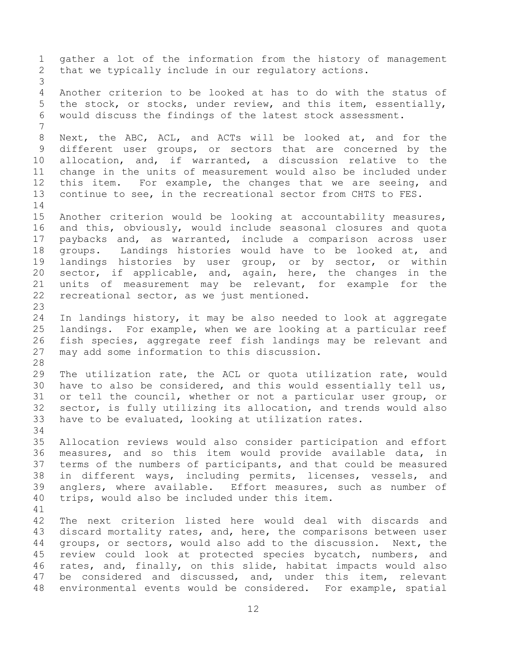1 gather a lot of the information from the history of management<br>2 that we typically include in our requlatory actions. that we typically include in our regulatory actions. 3 4 Another criterion to be looked at has to do with the status of<br>5 the stock, or stocks, under review, and this item, essentially, 5 the stock, or stocks, under review, and this item, essentially,<br>6 would discuss the findings of the latest stock assessment. would discuss the findings of the latest stock assessment. 7 8 Next, the ABC, ACL, and ACTs will be looked at, and for the<br>9 different user groups, or sectors that are concerned by the 9 different user groups, or sectors that are concerned by the<br>10 allocation, and, if warranted, a discussion relative to the 10 allocation, and, if warranted, a discussion relative to the<br>11 change in the units of measurement would also be included under 11 change in the units of measurement would also be included under<br>12 this item. For example, the changes that we are seeing, and 12 this item. For example, the changes that we are seeing, and<br>13 continue to see, in the recreational sector from CHTS to FES. continue to see, in the recreational sector from CHTS to FES.  $\begin{array}{c} 14 \\ 15 \end{array}$ 15 Another criterion would be looking at accountability measures,<br>16 and this, obviously, would include seasonal closures and quota and this, obviously, would include seasonal closures and quota 17 paybacks and, as warranted, include a comparison across user<br>18 groups. Landings histories would have to be looked at, and 18 groups. Landings histories would have to be looked at, and<br>19 landings histories by user group, or by sector, or within 19 landings histories by user group, or by sector, or within<br>20 sector, if applicable, and, again, here, the changes in the 20 sector, if applicable, and, again, here, the changes in the<br>21 units of measurement mav be relevant, for example for the 21 units of measurement may be relevant, for example for the<br>22 recreational sector, as we just mentioned. recreational sector, as we just mentioned. 23 24 In landings history, it may be also needed to look at aggregate<br>25 Iandings. For example, when we are looking at a particular reef 25 landings. For example, when we are looking at a particular reef<br>26 fish species, aggregate reef fish landings may be relevant and 26 fish species, aggregate reef fish landings may be relevant and<br>27 may add some information to this discussion. may add some information to this discussion. 28<br>29 29 The utilization rate, the ACL or quota utilization rate, would<br>30 have to also be considered, and this would essentially tell us, 30 have to also be considered, and this would essentially tell us,<br>31 or tell the council, whether or not a particular user group, or or tell the council, whether or not a particular user group, or 32 sector, is fully utilizing its allocation, and trends would also<br>33 have to be evaluated, looking at utilization rates. have to be evaluated, looking at utilization rates. 34<br>35 35 Allocation reviews would also consider participation and effort<br>36 measures, and so this item would provide available data, in 36 measures, and so this item would provide available data, in<br>37 terms of the numbers of participants, and that could be measured 37 terms of the numbers of participants, and that could be measured<br>38 in different ways, including permits, licenses, vessels, and 38 in different ways, including permits, licenses, vessels, and<br>39 anglers, where available. Effort measures, such as number of anglers, where available. Effort measures, such as number of 40 trips, would also be included under this item. 41<br>42 42 The next criterion listed here would deal with discards and<br>43 discard mortality rates, and, here, the comparisons between user 43 discard mortality rates, and, here, the comparisons between user<br>44 qroups, or sectors, would also add to the discussion. Next, the 44 groups, or sectors, would also add to the discussion. Next, the<br>45 review could look at protected species bycatch, numbers, and 45 review could look at protected species bycatch, numbers, and<br>46 rates, and, finally, on this slide, habitat impacts would also 46 rates, and, finally, on this slide, habitat impacts would also<br>47 be considered and discussed, and, under this item, relevant be considered and discussed, and, under this item, relevant 48 environmental events would be considered. For example, spatial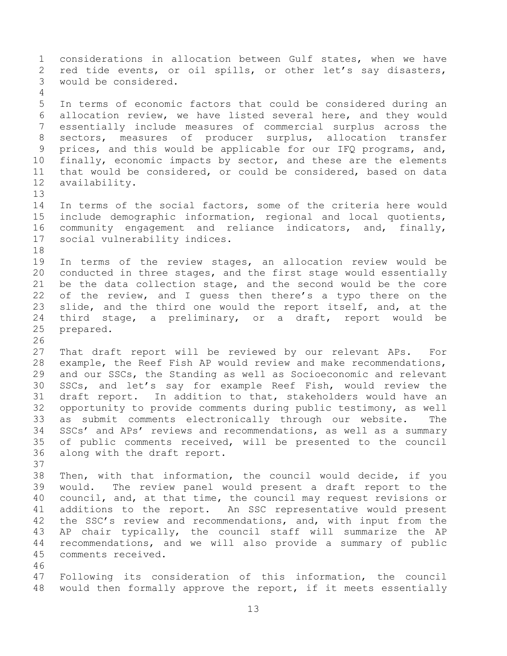1 considerations in allocation between Gulf states, when we have<br>2 red tide events, or oil spills, or other let's say disasters, 2 red tide events, or oil spills, or other let's say disasters,<br>3 would be considered. would be considered.  $\frac{4}{5}$ 5 In terms of economic factors that could be considered during an<br>6 allocation review, we have listed several here, and they would 6 allocation review, we have listed several here, and they would<br>7 essentially include measures of commercial surplus across the essentially include measures of commercial surplus across the 8 sectors, measures of producer surplus, allocation transfer<br>9 prices, and this would be applicable for our IFO programs, and, 9 prices, and this would be applicable for our IFQ programs, and,<br>10 finally, economic impacts by sector, and these are the elements 10 finally, economic impacts by sector, and these are the elements<br>11 that would be considered, or could be considered, based on data 11 that would be considered, or could be considered, based on data<br>12 availability. availability. 13<br>14 14 In terms of the social factors, some of the criteria here would<br>15 include demographic information, regional and local quotients, 15 include demographic information, regional and local quotients,<br>16 community engagement and reliance indicators, and, finally, 16 community engagement and reliance indicators, and, finally,<br>17 social vulnerability indices. social vulnerability indices. 18<br>19 19 In terms of the review stages, an allocation review would be<br>20 conducted in three stages, and the first stage would essentially 20 conducted in three stages, and the first stage would essentially<br>21 be the data collection stage, and the second would be the core 21 be the data collection stage, and the second would be the core<br>22 of the review, and I quess then there's a typo there on the 22 of the review, and I guess then there's a typo there on the<br>23 slide, and the third one would the report itself, and, at the slide, and the third one would the report itself, and, at the 24 third stage, a preliminary, or a draft, report would be<br>25 prepared. prepared. 26<br>27 27 That draft report will be reviewed by our relevant APs. For<br>28 example, the Reef Fish AP would review and make recommendations, 28 example, the Reef Fish AP would review and make recommendations,<br>29 and our SSCs, the Standing as well as Socioeconomic and relevant 29 and our SSCs, the Standing as well as Socioeconomic and relevant<br>30 SSCs, and let's say for example Reef Fish, would review the 30 SSCs, and let's say for example Reef Fish, would review the<br>31 draft report. In addition to that, stakeholders would have an draft report. In addition to that, stakeholders would have an 32 opportunity to provide comments during public testimony, as well<br>33 as submit comments electronically through our website. The 33 as submit comments electronically through our website. The<br>34 SSCs' and APs' reviews and recommendations, as well as a summary 34 SSCs' and APs' reviews and recommendations, as well as a summary<br>35 of public comments received, will be presented to the council 35 of public comments received, will be presented to the council<br>36 along with the draft report. along with the draft report. 37<br>38 38 Then, with that information, the council would decide, if you<br>39 would. The review panel would present a draft report to the would. The review panel would present a draft report to the 40 council, and, at that time, the council may request revisions or<br>41 additions to the report. An SSC representative would present 41 additions to the report. An SSC representative would present<br>42 the SSC's review and recommendations, and, with input from the 42 the SSC's review and recommendations, and, with input from the<br>43 AP chair typically, the council staff will summarize the AP 43 AP chair typically, the council staff will summarize the AP<br>44 recommendations, and we will also provide a summary of public 44 recommendations, and we will also provide a summary of public comments received. 46<br>47 47 Following its consideration of this information, the council 48 would then formally approve the report, if it meets essentially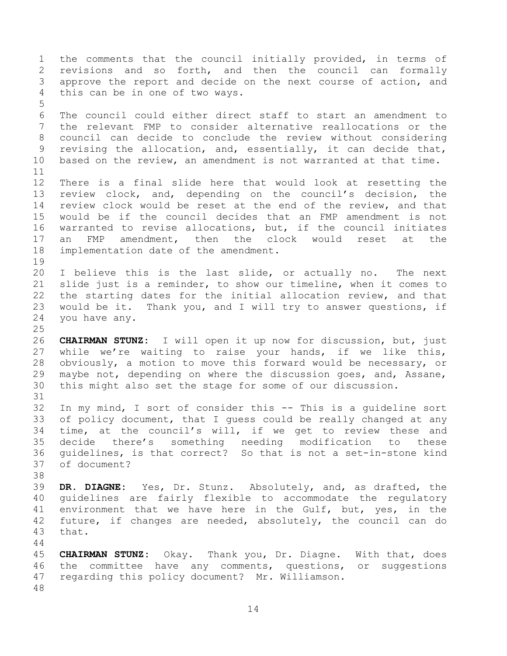1 the comments that the council initially provided, in terms of<br>2 revisions and so forth, and then the council can formally 2 revisions and so forth, and then the council can formally<br>3 approve the report and decide on the next course of action, and 3 approve the report and decide on the next course of action, and<br>4 this can be in one of two wavs. this can be in one of two ways. 5 6 The council could either direct staff to start an amendment to<br>7 the relevant FMP to consider alternative reallocations or the the relevant FMP to consider alternative reallocations or the 8 council can decide to conclude the review without considering<br>9 revising the allocation, and, essentially, it can decide that, 9 revising the allocation, and, essentially, it can decide that,<br>10 based on the review, an amendment is not warranted at that time. based on the review, an amendment is not warranted at that time. 11<br>12 12 There is a final slide here that would look at resetting the<br>13 review clock, and, depending on the council's decision, the 13 review clock, and, depending on the council's decision, the<br>14 review clock would be reset at the end of the review, and that 14 review clock would be reset at the end of the review, and that<br>15 would be if the council decides that an FMP amendment is not 15 would be if the council decides that an FMP amendment is not<br>16 warranted to revise allocations, but, if the council initiates warranted to revise allocations, but, if the council initiates 17 an FMP amendment, then the clock would reset at the<br>18 implementation date of the amendment. implementation date of the amendment. 19<br>20 20 I believe this is the last slide, or actually no. The next<br>21 slide just is a reminder, to show our timeline, when it comes to 21 slide just is a reminder, to show our timeline, when it comes to<br>22 the starting dates for the initial allocation review, and that 22 the starting dates for the initial allocation review, and that<br>23 would be it. Thank you, and I will try to answer questions, if would be it. Thank you, and I will try to answer questions, if 24 you have any.  $\frac{25}{26}$ 26 **CHAIRMAN STUNZ:** I will open it up now for discussion, but, just 27 while we're waiting to raise your hands, if we like this,<br>28 obviously, a motion to move this forward would be necessary, or 28 obviously, a motion to move this forward would be necessary, or<br>29 maybe not, depending on where the discussion goes, and, Assane, 29 maybe not, depending on where the discussion goes, and, Assane,<br>30 this might also set the stage for some of our discussion. this might also set the stage for some of our discussion. 31 32 In my mind, I sort of consider this -- This is a guideline sort<br>33 of policy document, that I quess could be really changed at any 33 of policy document, that I guess could be really changed at any<br>34 time, at the council's will, if we get to review these and 34 time, at the council's will, if we get to review these and<br>35 decide there's something needing modification to these 35 decide there's something needing<br>36 quidelines, is that correct? So that 36 guidelines, is that correct? So that is not a set-in-stone kind of document? 38<br>39 39 **DR. DIAGNE:** Yes, Dr. Stunz. Absolutely, and, as drafted, the 40 guidelines are fairly flexible to accommodate the regulatory<br>41 environment that we have here in the Gulf, but, yes, in the 41 environment that we have here in the Gulf, but, yes, in the<br>42 future, if changes are needed, absolutely, the council can do 42 future, if changes are needed, absolutely, the council can do 43 that. that.  $\begin{array}{c} 44 \\ 45 \end{array}$ 45 **CHAIRMAN STUNZ:** Okay. Thank you, Dr. Diagne. With that, does 46 the committee have any comments, questions, or suggestions<br>47 regarding this policy document? Mr. Williamson. regarding this policy document? Mr. Williamson. 48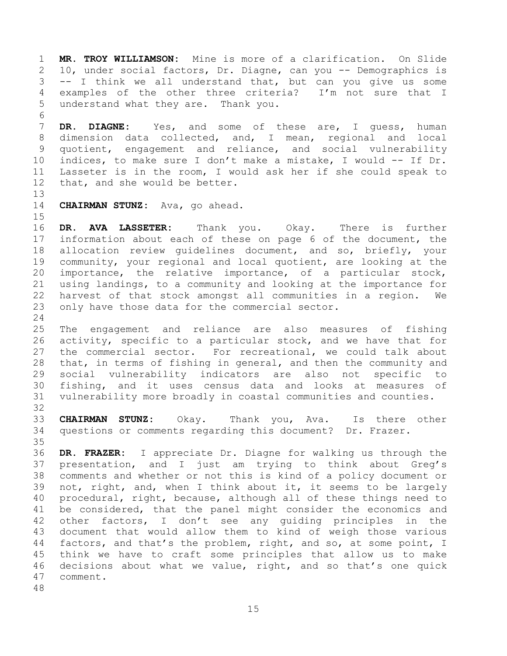1 **MR. TROY WILLIAMSON:** Mine is more of a clarification. On Slide 2 10, under social factors, Dr. Diagne, can you -- Demographics is<br>3 -- I think we all understand that, but can you give us some 3 -- I think we all understand that, but can you give us some<br>4 examples of the other three criteria? I'm not sure that I 4 examples of the other three criteria? I'm not sure that I<br>5 understand what they are. Thank you. understand what they are. Thank you.

6<br>7 7 **DR. DIAGNE:** Yes, and some of these are, I guess, human 8 dimension data collected, and, I mean, regional and local<br>9 quotient, engagement and reliance, and social vulnerability 9 quotient, engagement and reliance, and social vulnerability<br>10 indices, to make sure I don't make a mistake, I would -- If Dr. 10 indices, to make sure I don't make a mistake, I would -- If Dr.<br>11 Lasseter is in the room, I would ask her if she could speak to 11 Lasseter is in the room, I would ask her if she could speak to 12 that, and she would be better. that, and she would be better.

13<br>14 14 **CHAIRMAN STUNZ:** Ava, go ahead.

 $\frac{15}{16}$ 16 **DR. AVA LASSETER:** Thank you. Okay. There is further 17 information about each of these on page 6 of the document, the<br>18 allocation review quidelines document, and so, briefly, your 18 allocation review guidelines document, and so, briefly, your<br>19 community, your regional and local quotient, are looking at the 19 community, your regional and local quotient, are looking at the<br>20 importance, the relative importance, of a particular stock, 20 importance, the relative importance, of a particular stock,<br>21 using landings, to a community and looking at the importance for 21 using landings, to a community and looking at the importance for<br>22 harvest of that stock amongst all communities in a region. We 22 harvest of that stock amongst all communities in a region.<br>23 only have those data for the commercial sector. only have those data for the commercial sector.

 $\frac{24}{25}$ 25 The engagement and reliance are also measures of fishing<br>26 activity, specific to a particular stock, and we have that for 26 activity, specific to a particular stock, and we have that for<br>27 the commercial sector. For recreational, we could talk about 27 the commercial sector. For recreational, we could talk about<br>28 that, in terms of fishing in general, and then the community and 28 that, in terms of fishing in general, and then the community and<br>29 social vulnerability indicators are also not specific to 29 social vulnerability indicators are also not specific to<br>30 fishing, and it uses census data and looks at measures of 30 fishing, and it uses census data and looks at measures of<br>31 vulnerability more broadly in coastal communities and counties. vulnerability more broadly in coastal communities and counties.

32<br>33

33 **CHAIRMAN STUNZ:** Okay. Thank you, Ava. Is there other questions or comments regarding this document? Dr. Frazer.

35<br>36 36 **DR. FRAZER:** I appreciate Dr. Diagne for walking us through the 37 presentation, and I just am trying to think about Greg's<br>38 comments and whether or not this is kind of a policy document or 38 comments and whether or not this is kind of a policy document or<br>39 not, right, and, when I think about it, it seems to be largely not, right, and, when I think about it, it seems to be largely 40 procedural, right, because, although all of these things need to<br>41 be considered, that the panel might consider the economics and 41 be considered, that the panel might consider the economics and<br>42 other factors, I don't see any quiding principles in the 42 other factors, I don't see any guiding principles in the<br>43 document that would allow them to kind of weigh those various 43 document that would allow them to kind of weigh those various<br>44 factors, and that's the problem, right, and so, at some point, I 44 factors, and that's the problem, right, and so, at some point, I<br>45 think we have to craft some principles that allow us to make 45 think we have to craft some principles that allow us to make<br>46 decisions about what we value, right, and so that's one quick 46 decisions about what we value, right, and so that's one quick<br>47 comment. comment.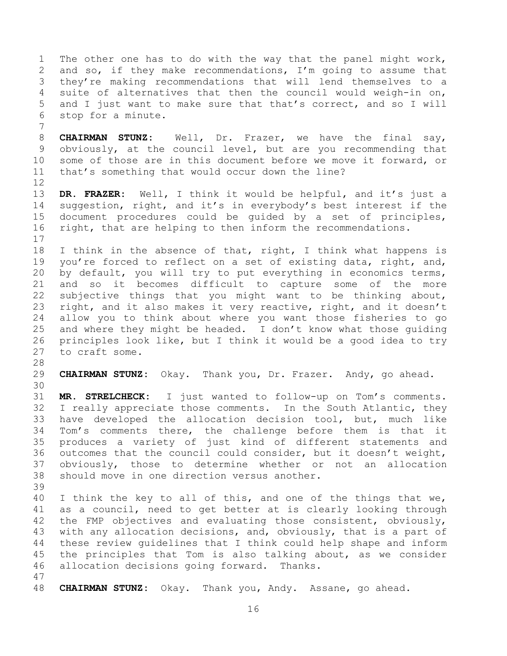1 The other one has to do with the way that the panel might work,<br>2 and so, if they make recommendations, I'm going to assume that 2 and so, if they make recommendations, I'm going to assume that<br>3 they're making recommendations that will lend themselves to a 3 they're making recommendations that will lend themselves to a<br>4 suite of alternatives that then the council would weigh-in on, 4 suite of alternatives that then the council would weigh-in on,<br>5 and I just want to make sure that that's correct, and so I will 5 and I just want to make sure that that's correct, and so I will<br>6 stop for a minute. stop for a minute. 7

8 **CHAIRMAN STUNZ:** Well, Dr. Frazer, we have the final say,<br>9 obviously, at the council level, but are you recommending that 9 obviously, at the council level, but are you recommending that<br>10 some of those are in this document before we move it forward, or 10 some of those are in this document before we move it forward, or<br>11 that's something that would occur down the line? that's something that would occur down the line?

12<br>13 13 **DR. FRAZER:** Well, I think it would be helpful, and it's just a 14 suggestion, right, and it's in everybody's best interest if the<br>15 document procedures could be quided by a set of principles, 15 document procedures could be guided by a set of principles,<br>16 right, that are helping to then inform the recommendations. right, that are helping to then inform the recommendations.

 $\begin{array}{c} 17 \\ 18 \end{array}$ 18 I think in the absence of that, right, I think what happens is<br>19 you're forced to reflect on a set of existing data, right, and, 19 you're forced to reflect on a set of existing data, right, and,<br>20 by default, you will try to put everything in economics terms, 20 by default, you will try to put everything in economics terms,<br>21 and so it becomes difficult to capture some of the more 21 and so it becomes difficult to capture some of the more<br>22 subjective things that you might want to be thinking about, 22 subjective things that you might want to be thinking about,<br>23 right, and it also makes it very reactive, right, and it doesn't right, and it also makes it very reactive, right, and it doesn't 24 allow you to think about where you want those fisheries to go<br>25 and where they might be headed. I don't know what those quiding 25 and where they might be headed. I don't know what those guiding<br>26 principles look like, but I think it would be a good idea to try 26 principles look like, but I think it would be a good idea to try<br>27 to craft some. to craft some.

28<br>29

29 **CHAIRMAN STUNZ:** Okay. Thank you, Dr. Frazer. Andy, go ahead.

30<br>31 31 **MR. STRELCHECK:** I just wanted to follow-up on Tom's comments. 32 I really appreciate those comments. In the South Atlantic, they<br>33 have developed the allocation decision tool, but, much like 33 have developed the allocation decision tool, but, much like<br>34 Tom's comments there, the challenge before them is that it 34 Tom's comments there, the challenge before them is that it<br>35 produces a variety of just kind of different statements and 35 produces a variety of just kind of different statements and<br>36 outcomes that the council could consider, but it doesn't weight, 36 outcomes that the council could consider, but it doesn't weight,<br>37 obviously, those to determine whether or not an allocation 37 obviously, those to determine whether or not an allocation<br>38 should move in one-direction versus another. should move in one direction versus another.

39

40 I think the key to all of this, and one of the things that we,<br>41 as a council, need to get better at is clearly looking through 41 as a council, need to get better at is clearly looking through<br>42 the FMP objectives and evaluating those consistent, obviouslv, 42 the FMP objectives and evaluating those consistent, obviously,<br>43 with any allocation decisions, and, obviously, that is a part of 43 with any allocation decisions, and, obviously, that is a part of<br>44 these review quidelines that I think could help shape and inform 44 these review guidelines that I think could help shape and inform<br>45 the principles that Tom is also talking about, as we consider 45 the principles that Tom is also talking about, as we consider<br>46 allocation decisions going forward. Thanks. allocation decisions going forward. Thanks.

47

48 **CHAIRMAN STUNZ:** Okay. Thank you, Andy. Assane, go ahead.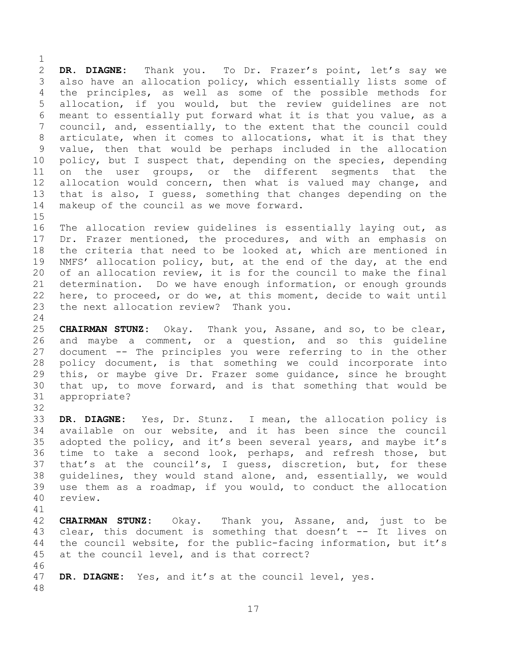$\frac{1}{2}$ 2 **DR. DIAGNE:** Thank you. To Dr. Frazer's point, let's say we 3 also have an allocation policy, which essentially lists some of<br>4 the principles, as well as some of the possible methods for 4 the principles, as well as some of the possible methods for<br>5 allocation, if you would, but the review quidelines are not 5 allocation, if you would, but the review guidelines are not<br>6 meant to essentially put forward what it is that you value, as a 6 meant to essentially put forward what it is that you value, as a<br>7 council, and, essentially, to the extent that the council could council, and, essentially, to the extent that the council could 8 articulate, when it comes to allocations, what it is that they<br>9 value, then that would be perhaps included in the allocation 9 value, then that would be perhaps included in the allocation<br>10 policy, but I suspect that, depending on the species, depending 10 policy, but I suspect that, depending on the species, depending<br>11 on the user groups, or the different segments that the 11 on the user groups, or the different segments that the<br>12 allocation would concern, then what is valued may change, and 12 allocation would concern, then what is valued may change, and<br>13 that is also, I quess, something that changes depending on the 13 that is also, I guess, something that changes depending on the 14 makeup of the council as we move forward. makeup of the council as we move forward.

 $15$ <br> $16$ The allocation review guidelines is essentially laying out, as 17 Dr. Frazer mentioned, the procedures, and with an emphasis on<br>18 the criteria that need to be looked at, which are mentioned in 18 the criteria that need to be looked at, which are mentioned in<br>19 NMFS' allocation policy, but, at the end of the day, at the end 19 NMFS' allocation policy, but, at the end of the day, at the end<br>20 of an allocation review, it is for the council to make the final 20 of an allocation review, it is for the council to make the final<br>21 determination. Do we have enough information, or enough grounds 21 determination. Do we have enough information, or enough grounds<br>22 here, to proceed, or do we, at this moment, decide to wait until 22 here, to proceed, or do we, at this moment, decide to wait until<br>23 the next allocation review? Thank you. the next allocation review? Thank you.

 $\frac{24}{25}$ 25 **CHAIRMAN STUNZ:** Okay. Thank you, Assane, and so, to be clear, 26 and maybe a comment, or a question, and so this guideline<br>27 document -- The principles you were referring to in the other 27 document -- The principles you were referring to in the other<br>28 policy document, is that something we could incorporate into 28 policy document, is that something we could incorporate into<br>29 this, or maybe give Dr. Frazer some quidance, since he brought 29 this, or maybe give Dr. Frazer some guidance, since he brought<br>30 that up, to move forward, and is that something that would be 30 that up, to move forward, and is that something that would be appropriate? appropriate?

32<br>33 33 **DR. DIAGNE:** Yes, Dr. Stunz. I mean, the allocation policy is 34 available on our website, and it has been since the council<br>35 adopted the policy, and it's been several years, and maybe it's 35 adopted the policy, and it's been several years, and maybe it's<br>36 time to take a second look, perhaps, and refresh those, but 36 time to take a second look, perhaps, and refresh those, but<br>37 that's at the council's, I quess, discretion, but, for these 37 that's at the council's, I guess, discretion, but, for these<br>38 quidelines, they would stand alone, and, essentially, we would 38 guidelines, they would stand alone, and, essentially, we would<br>39 use them as a roadmap, if you would, to conduct the allocation use them as a roadmap, if you would, to conduct the allocation 40 review.

41<br>42 42 **CHAIRMAN STUNZ:** Okay. Thank you, Assane, and, just to be 43 clear, this document is something that doesn't  $--$  It lives on<br>44 the council website, for the public-facing information, but it's 44 the council website, for the public-facing information, but it's<br>45 at the council level, and is that correct? at the council level, and is that correct? 46<br>47

DR. DIAGNE: Yes, and it's at the council level, yes.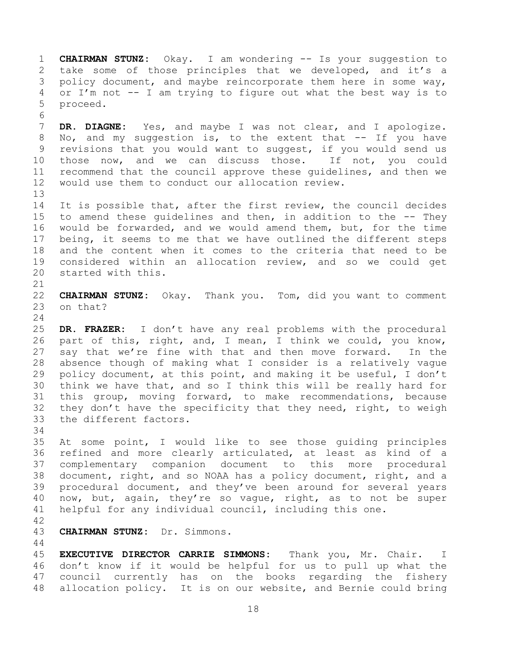1 **CHAIRMAN STUNZ:** Okay. I am wondering -- Is your suggestion to 2 take some of those principles that we developed, and it's a<br>3 policy document, and maybe reincorporate them here in some way, 3 policy document, and maybe reincorporate them here in some way,<br>4 or I'm not -- I am trving to figure out what the best way is to 4 or I'm not  $-$ - I am trying to figure out what the best way is to proceed. 5 proceed.

6<br>7 DR. DIAGNE: Yes, and maybe I was not clear, and I apologize. 8 No, and my suggestion is, to the extent that -- If you have<br>9 revisions that you would want to suggest, if you would send us 9 revisions that you would want to suggest, if you would send us<br>10 those now, and we can discuss those. If not, you could 10 those now, and we can discuss those. If not, you could<br>11 recommend that the council approve these quidelines, and then we 11 recommend that the council approve these guidelines, and then we<br>12 would use them to conduct our allocation review. would use them to conduct our allocation review.

13<br>14 14 It is possible that, after the first review, the council decides<br>15 to amend these quidelines and then, in addition to the -- They 15 to amend these guidelines and then, in addition to the -- They<br>16 would be forwarded, and we would amend them, but, for the time would be forwarded, and we would amend them, but, for the time 17 being, it seems to me that we have outlined the different steps<br>18 and the content when it comes to the criteria that need to be 18 and the content when it comes to the criteria that need to be<br>19 considered within an allocation review, and so we could get 19 considered within an allocation review, and so we could get<br>20 started with this. started with this.

21<br>22 22 **CHAIRMAN STUNZ:** Okay. Thank you. Tom, did you want to comment on that?

 $\frac{24}{25}$ 25 **DR. FRAZER:** I don't have any real problems with the procedural 26 part of this, right, and, I mean, I think we could, you know,<br>27 say that we're fine with that and then move forward. In the 27 say that we're fine with that and then move forward. In the<br>28 absence though of making what I consider is a relatively vague 28 absence though of making what I consider is a relatively vague<br>29 policy document, at this point, and making it be useful, I don't 29 policy document, at this point, and making it be useful, I don't<br>30 think we have that, and so I think this will be really hard for 30 think we have that, and so I think this will be really hard for<br>31 this group, moving forward, to make recommendations, because this group, moving forward, to make recommendations, because 32 they don't have the specificity that they need, right, to weigh 33 the different factors. the different factors.

34<br>35

35 At some point, I would like to see those guiding principles<br>36 refined and more clearly articulated, at least as kind of a 36 refined and more clearly articulated, at least as kind of a<br>37 complementary companion document to this more procedural 37 complementary companion document to this more procedural<br>38 document, right, and so NOAA has a policy document, right, and a 38 document, right, and so NOAA has a policy document, right, and a<br>39 procedural document, and thev've been around for several vears procedural document, and they've been around for several years 40 now, but, again, they're so vague, right, as to not be super<br>41 helpful for any individual council, including this one. helpful for any individual council, including this one.

42

43 **CHAIRMAN STUNZ:** Dr. Simmons.

 $\begin{array}{c} 44 \\ 45 \end{array}$ 45 **EXECUTIVE DIRECTOR CARRIE SIMMONS:** Thank you, Mr. Chair. I 46 don't know if it would be helpful for us to pull up what the<br>47 council currently has on the books regarding the fishery council currently has on the books regarding the fishery 48 allocation policy. It is on our website, and Bernie could bring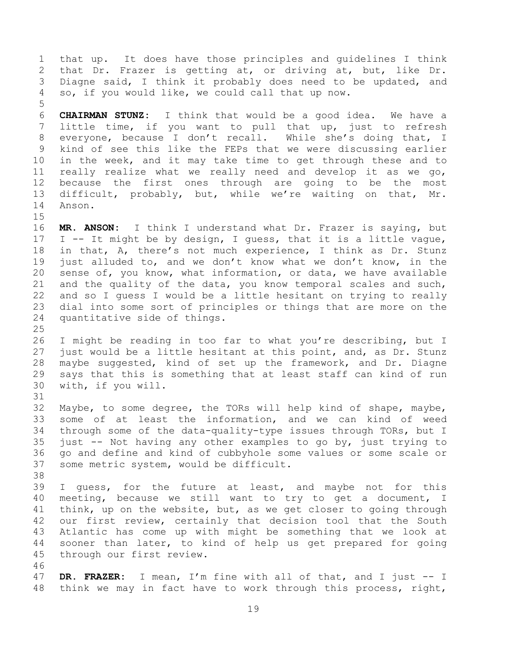1 that up. It does have those principles and guidelines I think<br>2 that Dr. Frazer is getting at, or driving at, but, like Dr. 2 that Dr. Frazer is getting at, or driving at, but, like Dr.<br>3 Diagne said, I think it probably does need to be updated, and 3 Diagne said, I think it probably does need to be updated, and<br>4 so, if you would like, we could call that up now. so, if you would like, we could call that up now. 5 6 **CHAIRMAN STUNZ:** I think that would be a good idea. We have a little time, if you want to pull that up, just to refresh 8 everyone, because I don't recall. While she's doing that, I<br>9 kind of see this like the FEPs that we were discussing earlier 9 kind of see this like the FEPs that we were discussing earlier<br>10 in the week, and it may take time to get through these and to 10 in the week, and it may take time to get through these and to<br>11 really realize what we really need and develop it as we go, 11 really realize what we really need and develop it as we go,<br>12 because the first ones through are going to be the most 12 because the first ones through are going to be the most<br>13 difficult, probably, but, while we're waiting on that, Mr.

13 difficult, probably, but, while we're waiting on that,<br>14 Anson. Anson.

 $15$ <br> $16$ 

MR. ANSON: I think I understand what Dr. Frazer is saying, but 17 I -- It might be by design, I guess, that it is a little vague,<br>18 in that, A, there's not much experience, I think as Dr. Stunz 18 in that, A, there's not much experience, I think as Dr. Stunz<br>19 iust alluded to, and we don't know what we don't know, in the 19 just alluded to, and we don't know what we don't know, in the<br>20 sense of, you know, what information, or data, we have available 20 sense of, you know, what information, or data, we have available<br>21 and the quality of the data, you know temporal scales and such, 21 and the quality of the data, you know temporal scales and such,<br>22 and so I quess I would be a little hesitant on trying to really 22 and so I guess I would be a little hesitant on trying to really<br>23 dial into some sort of principles or things that are more on the dial into some sort of principles or things that are more on the 24 quantitative side of things.

 $\frac{25}{26}$ 26 I might be reading in too far to what you're describing, but I<br>27 just would be a little hesitant at this point, and, as Dr. Stunz 27 just would be a little hesitant at this point, and, as Dr. Stunz<br>28 maybe suggested, kind of set up the framework, and Dr. Diagne 28 maybe suggested, kind of set up the framework, and Dr. Diagne<br>29 says that this is something that at least staff can kind of run 29 says that this is something that at least staff can kind of run<br>30 with, if you will. with, if you will. 31

32 Maybe, to some degree, the TORs will help kind of shape, maybe,<br>33 some of at least the information, and we can kind of weed 33 some of at least the information, and we can kind of weed<br>34 through some of the data-quality-type issues through TORs, but I 34 through some of the data-quality-type issues through TORs, but I<br>35 just -- Not having any other examples to go by, just trying to 35 just -- Not having any other examples to go by, just trying to<br>36 qo and define and kind of cubbyhole some values or some scale or 36 go and define and kind of cubbyhole some values or some scale or<br>37 some metric system, would be difficult. some metric system, would be difficult.

38<br>39

I guess, for the future at least, and maybe not for this 40 meeting, because we still want to try to get a document, I<br>41 think, up on the website, but, as we get closer to going through 41 think, up on the website, but, as we get closer to going through<br>42 our first review, certainly that decision tool that the South 42 our first review, certainly that decision tool that the South<br>43 Atlantic has come up with might be something that we look at 43 Atlantic has come up with might be something that we look at<br>44 sooner than later, to kind of help us get prepared for going 44 sooner than later, to kind of help us get prepared for going<br>45 through our first review. through our first review.

46<br>47

47 **DR. FRAZER:** I mean, I'm fine with all of that, and I just -- I 48 think we may in fact have to work through this process, right,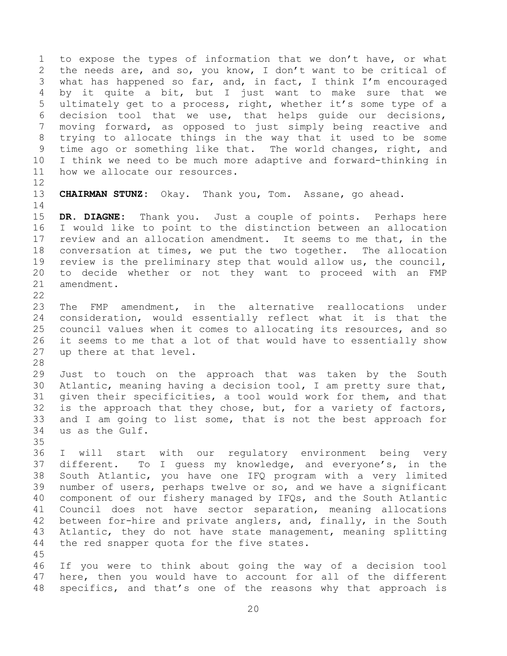1 to expose the types of information that we don't have, or what<br>2 the needs are, and so, you know, I don't want to be critical of 2 the needs are, and so, you know, I don't want to be critical of<br>3 what has happened so far, and, in fact, I think I'm encouraged 3 what has happened so far, and, in fact, I think I'm encouraged<br>4 by it quite a bit, but I just want to make sure that we 4 by it quite a bit, but I just want to make sure that we<br>5 ultimately get to a process, right, whether it's some type of a 5 ultimately get to a process, right, whether it's some type of a<br>6 decision tool that we use, that helps quide our decisions, 6 decision tool that we use, that helps guide our decisions,<br>7 moving forward, as opposed to just simply being reactive and moving forward, as opposed to just simply being reactive and 8 trying to allocate things in the way that it used to be some<br>9 time ago or something like that. The world changes, right, and 9 time ago or something like that. The world changes, right, and<br>10 I think we need to be much more adaptive and forward-thinking in 10 I think we need to be much more adaptive and forward-thinking in<br>11 how we allocate our resources. how we allocate our resources.

12<br>13 13 **CHAIRMAN STUNZ:** Okay. Thank you, Tom. Assane, go ahead.

 $\frac{14}{15}$ 15 **DR. DIAGNE:** Thank you. Just a couple of points. Perhaps here I would like to point to the distinction between an allocation 17 review and an allocation amendment. It seems to me that, in the<br>18 conversation at times, we put the two together. The allocation 18 conversation at times, we put the two together. The allocation<br>19 review is the preliminary step that would allow us, the council, 19 review is the preliminary step that would allow us, the council,<br>20 to decide whether or not they want to proceed with an FMP 20 to decide whether or not they want to proceed with an FMP<br>21 amendment. amendment.

 $\frac{22}{23}$ The FMP amendment, in the alternative reallocations under 24 consideration, would essentially reflect what it is that the<br>25 council values when it comes to allocating its resources, and so 25 council values when it comes to allocating its resources, and so<br>26 it seems to me that a lot of that would have to essentially show 26 it seems to me that a lot of that would have to essentially show<br>27 up there at that level. up there at that level.

28<br>29

29 Just to touch on the approach that was taken by the South<br>30 Atlantic, meaning having a decision tool, I am pretty sure that, 30 Atlantic, meaning having a decision tool, I am pretty sure that,<br>31 qiven their specificities, a tool would work for them, and that given their specificities, a tool would work for them, and that 32 is the approach that they chose, but, for a variety of factors,<br>33 and I am going to list some, that is not the best approach for 33 and I am going to list some, that is not the best approach for<br>34 us as the Gulf. us as the Gulf.

35<br>36

36 I will start with our regulatory environment being very<br>37 different. To I quess my knowledge, and everyone's, in the 37 different. To I guess my knowledge, and everyone's, in the<br>38 South Atlantic, you have one IFO program with a very limited 38 South Atlantic, you have one IFQ program with a very limited<br>39 number of users, perhaps twelve or so, and we have a significant number of users, perhaps twelve or so, and we have a significant 40 component of our fishery managed by IFQs, and the South Atlantic<br>41 Council does not have sector separation, meaning allocations 41 Council does not have sector separation, meaning allocations<br>42 between for-hire and private anglers, and, finally, in the South 42 between for-hire and private anglers, and, finally, in the South<br>43 Atlantic, they do not have state management, meaning splitting 43 Atlantic, they do not have state management, meaning splitting<br>44 the red snapper quota for the five states. the red snapper quota for the five states.

45

46 If you were to think about going the way of a decision tool<br>47 here, then you would have to account for all of the different here, then you would have to account for all of the different 48 specifics, and that's one of the reasons why that approach is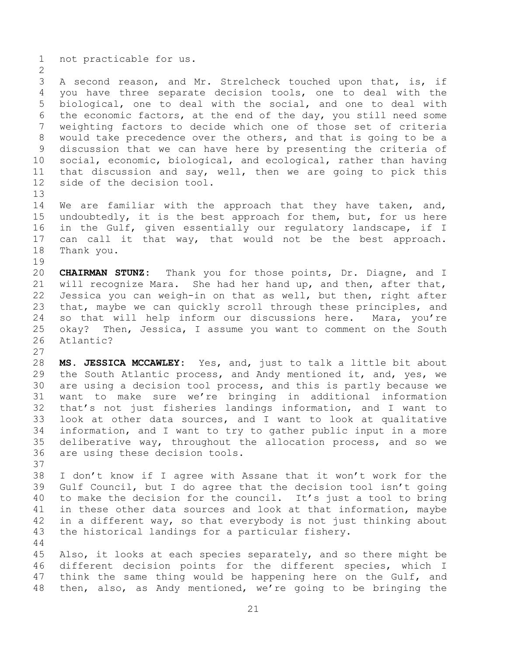1 not practicable for us.

 $\frac{2}{3}$ 3 A second reason, and Mr. Strelcheck touched upon that, is, if<br>4 vou have three separate decision tools, one to deal with the 4 you have three separate decision tools, one to deal with the<br>5 biological, one to deal with the social, and one to deal with 5 biological, one to deal with the social, and one to deal with<br>6 the economic factors, at the end of the day, you still need some 6 the economic factors, at the end of the day, you still need some<br>7 weighting factors to decide which one of those set of criteria weighting factors to decide which one of those set of criteria 8 would take precedence over the others, and that is going to be a<br>9 discussion that we can have here by presenting the criteria of 9 discussion that we can have here by presenting the criteria of<br>10 social, economic, biological, and ecological, rather than having 10 social, economic, biological, and ecological, rather than having<br>11 that discussion and say, well, then we are going to pick this 11 that discussion and say, well, then we are going to pick this<br>12 side of the decision tool. side of the decision tool.

13<br>14 14 We are familiar with the approach that they have taken, and,<br>15 undoubtedly, it is the best approach for them, but, for us here 15 undoubtedly, it is the best approach for them, but, for us here<br>16 in the Gulf, given essentially our regulatory landscape, if I in the Gulf, given essentially our regulatory landscape, if I 17 can call it that way, that would not be the best approach.<br>18 Thank you. Thank you.

19<br>20 20 **CHAIRMAN STUNZ:** Thank you for those points, Dr. Diagne, and I 21 will recognize Mara. She had her hand up, and then, after that,<br>22 Jessica you can weigh-in on that as well, but then, right after 22 Jessica you can weigh-in on that as well, but then, right after<br>23 that, maybe we can quickly scroll through these principles, and that, maybe we can quickly scroll through these principles, and 24 so that will help inform our discussions here. Mara, you're<br>25 okay? Then, Jessica, I assume you want to comment on the South 25 okay? Then, Jessica, I assume you want to comment on the South 26 Atlantic? Atlantic?

 $\frac{27}{28}$ 28 **MS. JESSICA MCCAWLEY:** Yes, and, just to talk a little bit about 29 the South Atlantic process, and Andy mentioned it, and, yes, we<br>30 are using a decision tool process, and this is partly because we 30 are using a decision tool process, and this is partly because we<br>31 want to make sure we're bringing in additional information want to make sure we're bringing in additional information 32 that's not just fisheries landings information, and I want to<br>33 look at other data sources, and I want to look at qualitative 33 look at other data sources, and I want to look at qualitative<br>34 information, and I want to try to gather public input in a more 34 information, and I want to try to gather public input in a more<br>35 deliberative way, throughout the allocation process, and so we 35 deliberative way, throughout the allocation process, and so we<br>36 are using these decision tools. are using these decision tools.

37<br>38 38 I don't know if I agree with Assane that it won't work for the<br>39 Gulf Council, but I do agree that the decision tool isn't going Gulf Council, but I do agree that the decision tool isn't going 40 to make the decision for the council. It's just a tool to bring<br>41 in these other data sources and look at that information, maybe 41 in these other data sources and look at that information, maybe<br>42 in a different wav, so that evervbody is not just thinking about 42 in a different way, so that everybody is not just thinking about<br>43 the historical landings for a particular fishery. the historical landings for a particular fishery.

 $\begin{array}{c} 44 \\ 45 \end{array}$ 45 Also, it looks at each species separately, and so there might be<br>46 different decision points for the different species, which I 46 different decision points for the different species, which I<br>47 think the same thing would be happening here on the Gulf, and think the same thing would be happening here on the Gulf, and 48 then, also, as Andy mentioned, we're going to be bringing the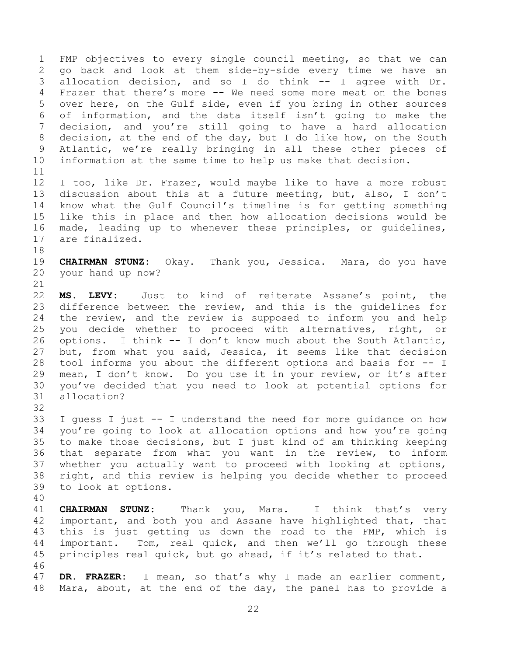1 FMP objectives to every single council meeting, so that we can<br>2 qo back and look at them side-by-side every time we have an 2 go back and look at them side-by-side every time we have an<br>3 allocation decision, and so I do think -- I agree with Dr. 3 allocation decision, and so I do think -- I agree with Dr.<br>4 Frazer that there's more -- We need some more meat on the bones 4 Frazer that there's more -- We need some more meat on the bones<br>5 over here, on the Gulf side, even if you bring in other sources over here, on the Gulf side, even if you bring in other sources 6 of information, and the data itself isn't going to make the decision, and you're still going to have a hard allocation 8 decision, at the end of the day, but I do like how, on the South<br>9 Atlantic, we're really bringing in all these other pieces of 9 Atlantic, we're really bringing in all these other pieces of<br>10 information at the same time to help us make that decision. information at the same time to help us make that decision.

11<br>12 12 I too, like Dr. Frazer, would maybe like to have a more robust<br>13 discussion about this at a future meeting, but, also, I don't 13 discussion about this at a future meeting, but, also, I don't<br>14 know what the Gulf Council's timeline is for getting something 14 know what the Gulf Council's timeline is for getting something<br>15 like this in place and then how allocation decisions would be 15 like this in place and then how allocation decisions would be<br>16 made, leading up to whenever these principles, or quidelines, made, leading up to whenever these principles, or guidelines, 17 are finalized.

18<br>19 19 **CHAIRMAN STUNZ:** Okay. Thank you, Jessica. Mara, do you have your hand up now?

 $\begin{array}{c} 21 \\ 22 \end{array}$ 22 **MS. LEVY:** Just to kind of reiterate Assane's point, the difference between the review, and this is the quidelines for 24 the review, and the review is supposed to inform you and help<br>25 you decide whether to proceed with alternatives, right, or 25 you decide whether to proceed with alternatives, right,<br>26 options. I think -- I don't know much about the South Atlanti 26 options. I think -- I don't know much about the South Atlantic,<br>27 but, from what you said, Jessica, it seems like that decision 27 but, from what you said, Jessica, it seems like that decision<br>28 tool informs you about the different options and basis for -- I 28 tool informs you about the different options and basis for -- I<br>29 mean, I don't know. Do you use it in your review, or it's after 29 mean, I don't know. Do you use it in your review, or it's after<br>30 vou've decided that you need to look at potential options for 30 you've decided that you need to look at potential options for allocation?

32<br>33

33 I guess I just -- I understand the need for more guidance on how<br>34 vou're going to look at allocation options and how you're going 34 you're going to look at allocation options and how you're going<br>35 to make those decisions, but I just kind of am thinking keeping 35 to make those decisions, but I just kind of am thinking keeping<br>36 that separate from what you want in the review, to inform 36 that separate from what you want in the review, to inform<br>37 whether you actually want to proceed with looking at options, 37 whether you actually want to proceed with looking at options,<br>38 right, and this review is helping you decide whether to proceed 38 right, and this review is helping you decide whether to proceed<br>39 to look at options. to look at options.

40 41 **CHAIRMAN STUNZ:** Thank you, Mara. I think that's very 42 important, and both you and Assane have highlighted that, that<br>43 this is just getting us down the road to the FMP, which is 43 this is just getting us down the road to the FMP, which is<br>44 important. Tom, real quick, and then we'll go through these 44 important. Tom, real quick, and then we'll go through these<br>45 principles real quick, but go ahead, if it's related to that. principles real quick, but go ahead, if it's related to that.

46<br>47 DR. FRAZER: I mean, so that's why I made an earlier comment, 48 Mara, about, at the end of the day, the panel has to provide a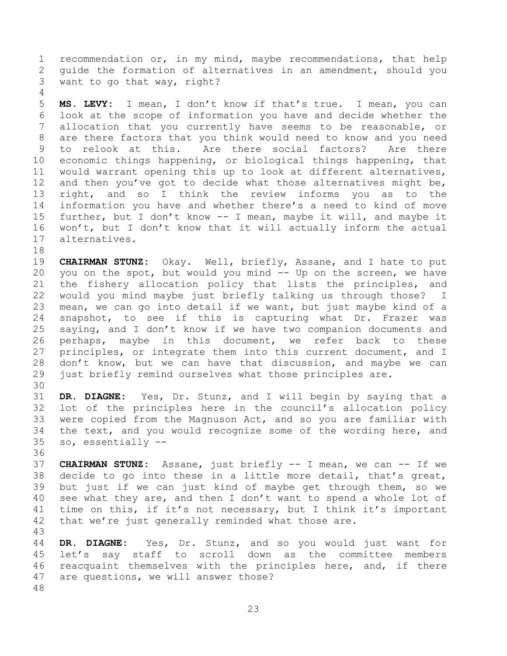1 recommendation or, in my mind, maybe recommendations, that help<br>2 quide the formation of alternatives in an amendment, should you 2 guide the formation of alternatives in an amendment, should you<br>3 want to go that way, right? want to go that way, right?

 $\frac{4}{5}$ 5 **MS. LEVY:** I mean, I don't know if that's true. I mean, you can<br>6 look at the scope of information you have and decide whether the 6 look at the scope of information you have and decide whether the<br>7 allocation that you currently have seems to be reasonable, or allocation that you currently have seems to be reasonable, or 8 are there factors that you think would need to know and you need<br>9 to relook at this. Are there social factors? Are there 9 to relook at this. Are there social factors?<br>10 economic things happening, or biological things hap 10 economic things happening, or biological things happening, that<br>11 would warrant opening this up to look at different alternatives, 11 would warrant opening this up to look at different alternatives,<br>12 and then you've got to decide what those alternatives might be, 12 and then you've got to decide what those alternatives might be,<br>13 right, and so I think the review informs you as to the 13 right, and so I think the review informs you as to the<br>14 information you have and whether there's a need to kind of move 14 information you have and whether there's a need to kind of move<br>15 further, but I don't know -- I mean, maybe it will, and maybe it 15 further, but I don't know -- I mean, maybe it will, and maybe it<br>16 won't, but I don't know that it will actually inform the actual 16 won't, but I don't know that it will actually inform the actual<br>17 alternatives. alternatives.

18<br>19 19 **CHAIRMAN STUNZ:** Okay. Well, briefly, Assane, and I hate to put<br>20 you on the spot, but would you mind -- Up on the screen, we have 20 you on the spot, but would you mind -- Up on the screen, we have<br>21 the fishery allocation policy that lists the principles, and 21 the fishery allocation policy that lists the principles, and<br>22 would you mind maybe just briefly talking us through those? I 22 would you mind maybe just briefly talking us through those?<br>23 mean, we can go into detail if we want, but just maybe kind o mean, we can go into detail if we want, but just maybe kind of a 24 snapshot, to see if this is capturing what Dr. Frazer was<br>25 saving, and I don't know if we have two companion documents and 25 saying, and I don't know if we have two companion documents and<br>26 perhaps, maybe in this document, we refer back to these 26 perhaps, maybe in this document, we refer back to these<br>27 principles, or integrate them into this current document, and I 27 principles, or integrate them into this current document, and I<br>28 don't know, but we can have that discussion, and maybe we can 28 don't know, but we can have that discussion, and maybe we can<br>29 just briefly remind ourselves what those principles are. just briefly remind ourselves what those principles are.

30<br>31

DR. DIAGNE: Yes, Dr. Stunz, and I will begin by saying that a 32 lot of the principles here in the council's allocation policy<br>33 were copied from the Magnuson Act, and so you are familiar with 33 were copied from the Magnuson Act, and so you are familiar with<br>34 the text, and you would recognize some of the wording here, and 34 the text, and you would recognize some of the wording here, and  $35$  so, essentially  $$ so, essentially --

36<br>37

37 **CHAIRMAN STUNZ:** Assane, just briefly -- I mean, we can -- If we 38 decide to go into these in a little more detail, that's great,<br>39 but just if we can just kind of maybe get through them, so we but just if we can just kind of maybe get through them, so we 40 see what they are, and then I don't want to spend a whole lot of 41 time on this, if it's not necessary, but I think it's important 41 time on this, if it's not necessary, but I think it's important<br>42 that we're just generally reminded what those are. that we're just generally reminded what those are.

43 44 **DR. DIAGNE:** Yes, Dr. Stunz, and so you would just want for 45 let's say staff to scroll down as the committee members<br>46 reacquaint themselves with the principles here, and, if there 46 reacquaint themselves with the principles here, and, if there<br>47 are questions, we will answer those? are questions, we will answer those? 48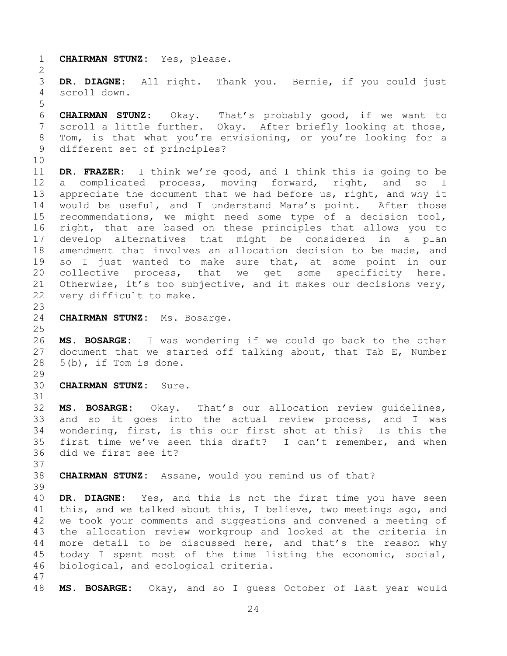1 **CHAIRMAN STUNZ:** Yes, please.

 $\frac{2}{3}$ 3 **DR. DIAGNE:** All right. Thank you. Bernie, if you could just scroll down.

5 6 **CHAIRMAN STUNZ:** Okay. That's probably good, if we want to scroll a little further. Okay. After briefly looking at those, 8 Tom, is that what you're envisioning, or you're looking for a<br>9 different set of principles? different set of principles?

10<br>11 11 **DR. FRAZER:** I think we're good, and I think this is going to be 12 a complicated process, moving forward, right, and so<br>13 appreciate the document that we had before us, right, and why 13 appreciate the document that we had before us, right, and why it<br>14 would be useful, and I understand Mara's point. After those 14 would be useful, and I understand Mara's point.<br>15 recommendations, we might need some type of a de 15 recommendations, we might need some type of a decision tool,<br>16 right, that are based on these principles that allows you to right, that are based on these principles that allows you to 17 develop alternatives that might be considered in a plan<br>18 amendment that involves an allocation decision to be made, and 18 amendment that involves an allocation decision to be made, and<br>19 so I just wanted to make sure that, at some point in our 19 so I just wanted to make sure that, at some point in our<br>20 collective process, that we get some specificity here. 20 collective process, that we get some<br>21 Otherwise, it's too subjective, and it makes 21 Otherwise, it's too subjective, and it makes our decisions very,<br>22 very difficult to make. very difficult to make.

24 **CHAIRMAN STUNZ:** Ms. Bosarge.

 $\frac{25}{26}$ 26 **MS. BOSARGE:** I was wondering if we could go back to the other 27 document that we started off talking about, that Tab E, Number 28 5(b), if Tom is done.  $5(b)$ , if Tom is done.

 $\frac{29}{30}$ 30 **CHAIRMAN STUNZ:** Sure.

31

23

32 **MS. BOSARGE:** Okay. That's our allocation review guidelines, 33 and so it goes into the actual review process, and I was<br>34 wondering, first, is this our first shot at this? Is this the 34 wondering, first, is this our first shot at this? Is this the<br>35 first time we've seen this draft? I can't remember, and when 35 first time we've seen this draft? I can't remember, and when<br>36 did we first see it? did we first see it?

37<br>38 38 **CHAIRMAN STUNZ:** Assane, would you remind us of that? 39

40 **DR. DIAGNE:** Yes, and this is not the first time you have seen 41 this, and we talked about this, I believe, two meetings ago, and<br>42 we took vour comments and suggestions and convened a meeting of 42 we took your comments and suggestions and convened a meeting of<br>43 the allocation review workgroup and looked at the criteria in 43 the allocation review workgroup and looked at the criteria in<br>44 more detail to be discussed here, and that's the reason why 44 more detail to be discussed here, and that's the reason why<br>45 today I spent most of the time listing the economic, social, 45 today I spent most of the time listing the economic, social,<br>46 biological, and ecological criteria. biological, and ecological criteria.

47

48 **MS. BOSARGE:** Okay, and so I guess October of last year would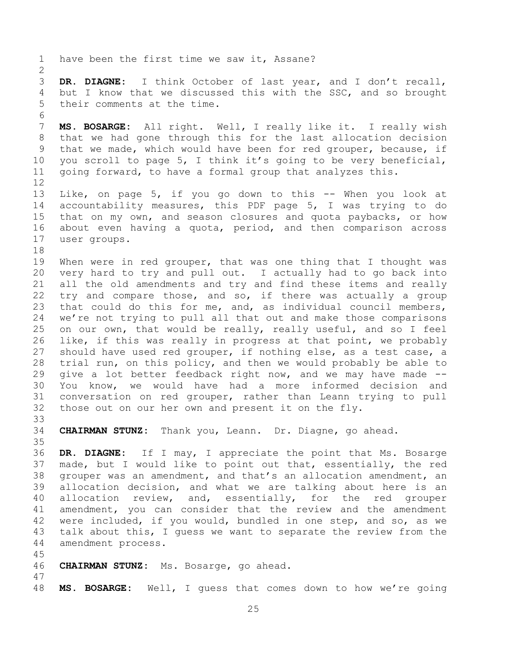1 have been the first time we saw it, Assane?  $\frac{2}{3}$ 3 **DR. DIAGNE:** I think October of last year, and I don't recall, 4 but I know that we discussed this with the SSC, and so brought<br>5 their comments at the time. their comments at the time. 6<br>7 7 **MS. BOSARGE:** All right. Well, I really like it. I really wish 8 that we had gone through this for the last allocation decision<br>9 that we made, which would have been for red grouper, because, if 9 that we made, which would have been for red grouper, because, if<br>10 you scroll to page 5, I think it's going to be very beneficial, 10 you scroll to page 5, I think it's going to be very beneficial,<br>11 going forward, to have a formal group that analyzes this. going forward, to have a formal group that analyzes this. 12<br>13 13 Like, on page 5, if you go down to this -- When you look at<br>14 accountability measures, this PDF page 5, I was trying to do 14 accountability measures, this PDF page 5, I was trying to do<br>15 that on my own, and season closures and quota paybacks, or how 15 that on my own, and season closures and quota paybacks, or how<br>16 about even having a quota, period, and then comparison across about even having a quota, period, and then comparison across 17 user groups. 18<br>19 19 When were in red grouper, that was one thing that I thought was<br>20 very hard to try and pull out. I actually had to go back into 20 very hard to try and pull out. I actually had to go back into<br>21 all the old amendments and try and find these items and really 21 all the old amendments and try and find these items and really<br>22 try and compare those, and so, if there was actually a group 22 try and compare those, and so, if there was actually a group<br>23 that could do this for me, and, as individual council members, that could do this for me, and, as individual council members, 24 we're not trying to pull all that out and make those comparisons<br>25 on our own, that would be really, really useful, and so I feel 25 on our own, that would be really, really useful, and so I feel<br>26 like, if this was really in progress at that point, we probably 26 like, if this was really in progress at that point, we probably<br>27 should have used red grouper, if nothing else, as a test case, a 27 should have used red grouper, if nothing else, as a test case, a<br>28 trial run, on this policy, and then we would probably be able to 28 trial run, on this policy, and then we would probably be able to<br>29 qive a lot better feedback right now, and we may have made --29 give a lot better feedback right now, and we may have made --<br>30 You know, we would have had a more informed decision and 30 You know, we would have had a more informed decision and<br>31 conversation on red grouper, rather than Leann trying to pull conversation on red grouper, rather than Leann trying to pull 32 those out on our her own and present it on the fly. 33<br>34 34 **CHAIRMAN STUNZ:** Thank you, Leann. Dr. Diagne, go ahead. 35<br>36 36 **DR. DIAGNE:** If I may, I appreciate the point that Ms. Bosarge 37 made, but I would like to point out that, essentially, the red<br>38 qrouper was an amendment, and that's an allocation amendment, an 38 grouper was an amendment, and that's an allocation amendment, an<br>39 allocation decision, and what we are talking about here is an allocation decision, and what we are talking about here is an<br>allocation review, and, essentially, for the red grouper 40 allocation review, and, essentially, for the red grouper<br>41 amendment, you can consider that the review and the amendment 41 amendment, you can consider that the review and the amendment<br>42 were included, if you would, bundled in one step, and so, as we 42 were included, if you would, bundled in one step, and so, as we<br>43 talk about this, I quess we want to separate the review from the 43 talk about this, I guess we want to separate the review from the 44 amendment process. amendment process. 45 46 **CHAIRMAN STUNZ:** Ms. Bosarge, go ahead. 47 48 **MS. BOSARGE:** Well, I guess that comes down to how we're going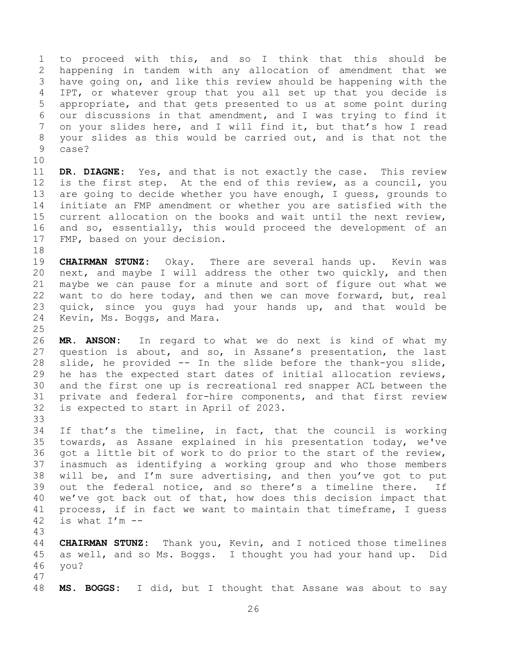1 to proceed with this, and so I think that this should be<br>2 happening in tandem with any allocation of amendment that we 2 happening in tandem with any allocation of amendment that we<br>3 have going on, and like this review should be happening with the 3 have going on, and like this review should be happening with the<br>4 IPT, or whatever group that you all set up that you decide is 4 IPT, or whatever group that you all set up that you decide is<br>5 appropriate, and that gets presented to us at some point during 5 appropriate, and that gets presented to us at some point during<br>6 our discussions in that amendment, and I was trying to find it 6 our discussions in that amendment, and I was trying to find it<br>7 on your slides here, and I will find it, but that's how I read on your slides here, and I will find it, but that's how I read 8 your slides as this would be carried out, and is that not the case? case?

10<br>11 11 **DR. DIAGNE:** Yes, and that is not exactly the case. This review<br>12 is the first step. At the end of this review, as a council, you 12 is the first step. At the end of this review, as a council, you<br>13 are going to decide whether you have enough, I quess, grounds to 13 are going to decide whether you have enough, I guess, grounds to<br>14 initiate an FMP amendment or whether you are satisfied with the 14 initiate an FMP amendment or whether you are satisfied with the<br>15 current allocation on the books and wait until the next review. 15 current allocation on the books and wait until the next review,<br>16 and so, essentially, this would proceed the development of an and so, essentially, this would proceed the development of an 17 FMP, based on your decision.

18<br>19 19 **CHAIRMAN STUNZ:** Okay. There are several hands up. Kevin was<br>20 next, and maybe I will address the other two quickly, and then 20 next, and maybe I will address the other two quickly, and then<br>21 maybe we can pause for a minute and sort of figure out what we 21 maybe we can pause for a minute and sort of figure out what we<br>22 want to do here today, and then we can move forward, but, real 22 want to do here today, and then we can move forward, but, real<br>23 quick, since you quys had your hands up, and that would be quick, since you guys had your hands up, and that would be 24 Kevin, Ms. Boggs, and Mara.

 $\frac{25}{26}$ 26 **MR. ANSON:** In regard to what we do next is kind of what my 27 question is about, and so, in Assane's presentation, the last<br>28 slide, he provided -- In the slide before the thank-you slide, 28 slide, he provided -- In the slide before the thank-you slide,<br>29 he has the expected start dates of initial allocation reviews, 29 he has the expected start dates of initial allocation reviews,<br>30 and the first one up is recreational red snapper ACL between the 30 and the first one up is recreational red snapper ACL between the<br>31 private and federal for-hire components, and that first review private and federal for-hire components, and that first review 32 is expected to start in April of 2023.

33<br>34 34 If that's the timeline, in fact, that the council is working<br>35 towards, as Assane explained in his presentation today, we've 35 towards, as Assane explained in his presentation today, we've<br>36 got a little bit of work to do prior to the start of the review, 36 got a little bit of work to do prior to the start of the review,<br>37 inasmuch as identifying a working group and who those members 37 inasmuch as identifying a working group and who those members<br>38 will be, and I'm sure advertising, and then you've got to put 38 will be, and I'm sure advertising, and then you've got to put<br>39 out the federal notice, and so there's a timeline there. If out the federal notice, and so there's a timeline there. 40 we've got back out of that, how does this decision impact that<br>41 process, if in fact we want to maintain that timeframe, I quess 41 process, if in fact we want to maintain that timeframe, I guess<br>42 is what  $I'm$  -is what  $I'm$  --

43 44 **CHAIRMAN STUNZ:** Thank you, Kevin, and I noticed those timelines<br>45 as well, and so Ms. Boggs. I thought you had your hand up. Did 45 as well, and so Ms. Boggs. I thought you had your hand up. Did 46 vou? vou? 47

48 **MS. BOGGS:** I did, but I thought that Assane was about to say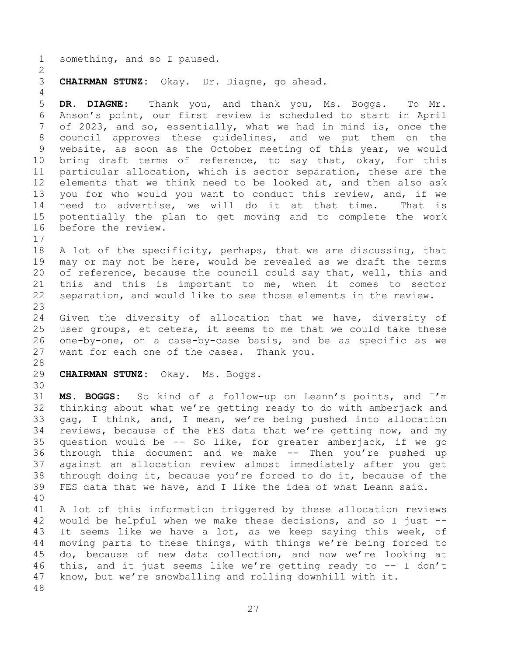1 something, and so I paused.  $\frac{2}{3}$ 3 **CHAIRMAN STUNZ:** Okay. Dr. Diagne, go ahead.  $\frac{4}{5}$ 5 **DR. DIAGNE:** Thank you, and thank you, Ms. Boggs. To Mr. 6 Anson's point, our first review is scheduled to start in April<br>7 of 2023, and so, essentially, what we had in mind is, once the of 2023, and so, essentially, what we had in mind is, once the 8 council approves these guidelines, and we put them on the<br>9 website, as soon as the October meeting of this year, we would 9 website, as soon as the October meeting of this year, we would<br>10 bring draft terms of reference, to say that, okay, for this 10 bring draft terms of reference, to say that, okay, for this<br>11 particular allocation, which is sector separation, these are the 11 particular allocation, which is sector separation, these are the<br>12 elements that we think need to be looked at, and then also ask 12 elements that we think need to be looked at, and then also ask<br>13 you for who would you want to conduct this review, and, if we 13 you for who would you want to conduct this review, and, if we<br>14 need to advertise, we will do it at that time. That is 14 need to advertise, we will do it at that time.<br>15 potentially the plan to get moving and to complet 15 potentially the plan to get moving and to complete the work<br>16 before the review. before the review.  $\begin{array}{c} 17 \\ 18 \end{array}$ 18 A lot of the specificity, perhaps, that we are discussing, that<br>19 may or may not be here, would be revealed as we draft the terms 19 may or may not be here, would be revealed as we draft the terms<br>20 of reference, because the council could say that, well, this and 20 of reference, because the council could say that, well, this and<br>21 this and this is important to me, when it comes to sector 21 this and this is important to me, when it comes to sector<br>22 separation, and would like to see those elements in the review. separation, and would like to see those elements in the review. 23 24 Given the diversity of allocation that we have, diversity of<br>25 user groups, et cetera, it seems to me that we could take these 25 user groups, et cetera, it seems to me that we could take these<br>26 one-by-one, on a case-by-case basis, and be as specific as we 26 one-by-one, on a case-by-case basis, and be as specific as we<br>27 want for each one of the cases. Thank you. want for each one of the cases. Thank you. 28<br>29 29 **CHAIRMAN STUNZ:** Okay. Ms. Boggs. 30<br>31 31 **MS. BOGGS:** So kind of a follow-up on Leann's points, and I'm 32 thinking about what we're getting ready to do with amberjack and<br>33 qaq, I think, and, I mean, we're being pushed into allocation 33 gag, I think, and, I mean, we're being pushed into allocation<br>34 reviews, because of the FES data that we're getting now, and my 34 reviews, because of the FES data that we're getting now, and my<br>35 question would be -- So like, for greater amberjack, if we go 35 question would be  $-$  So like, for greater amberjack, if we go 36 through this document and we make  $-$  Then you're pushed up 36 through this document and we make -- Then you're pushed up<br>37 against an allocation review almost immediately after you get 37 against an allocation review almost immediately after you get<br>38 through doing it, because you're forced to do it, because of the 38 through doing it, because you're forced to do it, because of the<br>39 FES data that we have, and I like the idea of what Leann said. FES data that we have, and I like the idea of what Leann said. 40 41 A lot of this information triggered by these allocation reviews<br>42 would be helpful when we make these decisions, and so I just --42 would be helpful when we make these decisions, and so I just  $-$ -<br>43 It seems like we have a lot, as we keep saying this week, of 43 It seems like we have a lot, as we keep saying this week, of<br>44 moving parts to these things, with things we're being forced to 44 moving parts to these things, with things we're being forced to<br>45 do, because of new data collection, and now we're looking at 45 do, because of new data collection, and now we're looking at<br>46 this, and it just seems like we're getting ready to -- I don't 46 this, and it just seems like we're getting ready to  $-$  I don't 47 know, but we're snowballing and rolling downhill with it. know, but we're snowballing and rolling downhill with it. 48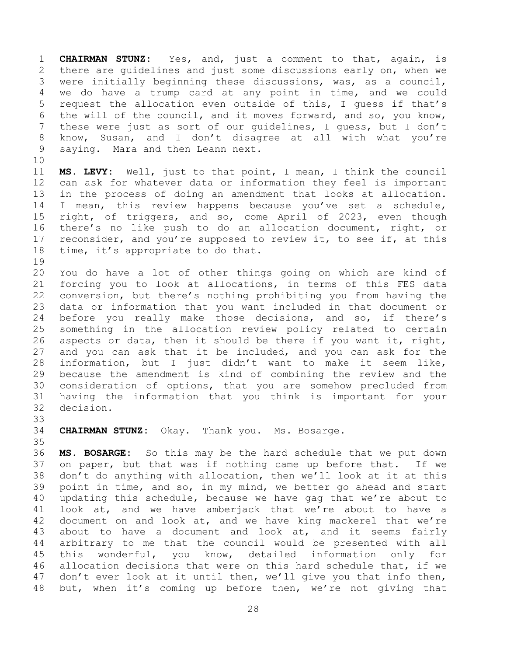1 **CHAIRMAN STUNZ:** Yes, and, just a comment to that, again, is 2 there are guidelines and just some discussions early on, when we<br>3 were initially beginning these discussions, was, as a council, 3 were initially beginning these discussions, was, as a council,<br>4 we do have a trump card at any point in time, and we could 4 we do have a trump card at any point in time, and we could<br>5 request the allocation even outside of this, I quess if that's 5 request the allocation even outside of this, I guess if that's<br>6 the will of the council, and it moves forward, and so, you know, 6 the will of the council, and it moves forward, and so, you know,<br>7 these were just as sort of our quidelines, I quess, but I don't these were just as sort of our guidelines, I guess, but I don't 8 know, Susan, and I don't disagree at all with what you're<br>9 saying. Mara and then Leann next. saying. Mara and then Leann next.

10<br>11 11 **MS. LEVY:** Well, just to that point, I mean, I think the council 12 can ask for whatever data or information they feel is important<br>13 in the process of doing an amendment that looks at allocation. 13 in the process of doing an amendment that looks at allocation.<br>14 I mean, this review happens because you've set a schedule, 14 I mean, this review happens because you've set a schedule,<br>15 right, of triggers, and so, come April of 2023, even though 15 right, of triggers, and so, come April of 2023, even though<br>16 there's no like push to do an allocation document, right, or there's no like push to do an allocation document, right, or 17 reconsider, and you're supposed to review it, to see if, at this<br>18 time, it's appropriate to do that. time, it's appropriate to do that.

19<br>20 20 You do have a lot of other things going on which are kind of<br>21 forcing you to look at allocations, in terms of this FES data 21 forcing you to look at allocations, in terms of this FES data<br>22 conversion, but there's nothing prohibiting you from having the 22 conversion, but there's nothing prohibiting you from having the<br>23 data or information that you want included in that document or data or information that you want included in that document or 24 before you really make those decisions, and so, if there's<br>25 something in the allocation review policy related to certain 25 something in the allocation review policy related to certain<br>26 aspects or data, then it should be there if you want it, right, 26 aspects or data, then it should be there if you want it, right,<br>27 and you can ask that it be included, and you can ask for the 27 and you can ask that it be included, and you can ask for the<br>28 information, but I just didn't want to make it seem like, 28 information, but I just didn't want to make it seem like,<br>29 because the amendment is kind of combining the review and the 29 because the amendment is kind of combining the review and the<br>30 consideration of options, that you are somehow precluded from 30 consideration of options, that you are somehow precluded from<br>31 having the information that you think is important for your having the information that you think is important for your 32 decision.

33<br>34

34 **CHAIRMAN STUNZ:** Okay. Thank you. Ms. Bosarge.

35<br>36 36 **MS. BOSARGE:** So this may be the hard schedule that we put down 37 on paper, but that was if nothing came up before that. If we<br>38 don't do anything with allocation, then we'll look at it at this 38 don't do anything with allocation, then we'll look at it at this<br>39 point in time, and so, in my mind, we better go ahead and start point in time, and so, in my mind, we better go ahead and start 40 updating this schedule, because we have gag that we're about to<br>41 look at, and we have amberjack that we're about to have a 41 look at, and we have amberjack that we're about to have a<br>42 document on and look at, and we have king mackerel that we're 42 document on and look at, and we have king mackerel that we're<br>43 about to have a document and look at, and it seems fairly 43 about to have a document and look at, and it seems fairly<br>44 arbitrary to me that the council would be presented with all 44 arbitrary to me that the council would be presented with all<br>45 this wonderful, you know, detailed information only for 45 this wonderful, you know, detailed information only for<br>46 allocation-decisions that were on this hard schedule that, if we 46 allocation decisions that were on this hard schedule that, if we<br>47 don't ever look at it until then, we'll give you that info then, don't ever look at it until then, we'll give you that info then, 48 but, when it's coming up before then, we're not giving that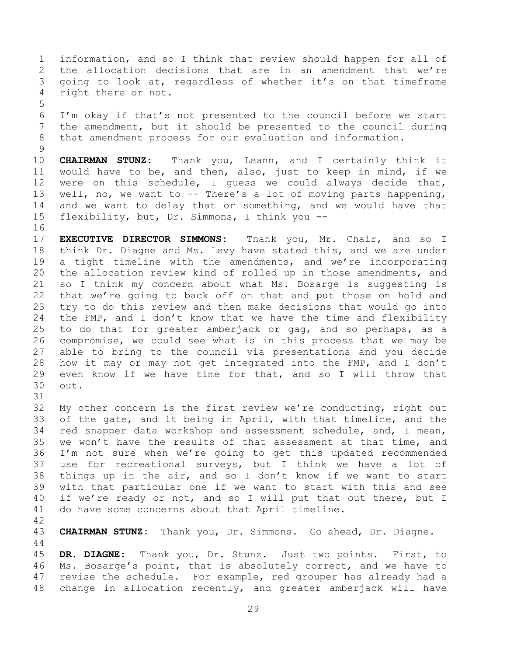1 information, and so I think that review should happen for all of<br>2 the allocation decisions that are in an amendment that we're 2 the allocation decisions that are in an amendment that we're<br>3 qoing to look at, regardless of whether it's on that timeframe 3 going to look at, regardless of whether it's on that timeframe<br>4 right there or not. right there or not.

5 6 I'm okay if that's not presented to the council before we start<br>7 the amendment, but it should be presented to the council during the amendment, but it should be presented to the council during 8 that amendment process for our evaluation and information.

 $\begin{array}{c} 9 \\ 10 \end{array}$ 10 **CHAIRMAN STUNZ:** Thank you, Leann, and I certainly think it 11 would have to be, and then, also, just to keep in mind, if we<br>12 were on this schedule, I quess we could always decide that, 12 were on this schedule, I guess we could always decide that,<br>13 well, no, we want to -- There's a lot of moving parts happening, 13 well, no, we want to -- There's a lot of moving parts happening,<br>14 and we want to delay that or something, and we would have that 14 and we want to delay that or something, and we would have that<br>15 flexibility, but, Dr. Simmons, I think you -flexibility, but, Dr. Simmons, I think you --

 $\begin{array}{c} 16 \\ 17 \end{array}$ 17 **EXECUTIVE DIRECTOR SIMMONS:** Thank you, Mr. Chair, and so I 18 think Dr. Diagne and Ms. Levy have stated this, and we are under<br>19 a tight timeline with the amendments, and we're incorporating 19 a tight timeline with the amendments, and we're incorporating<br>20 the allocation review kind of rolled up in those amendments, and 20 the allocation review kind of rolled up in those amendments, and<br>21 so I think my concern about what Ms. Bosarge is suggesting is 21 so I think my concern about what Ms. Bosarge is suggesting is<br>22 that we're going to back off on that and put those on hold and 22 that we're going to back off on that and put those on hold and<br>23 try to do this review and then make decisions that would go into try to do this review and then make decisions that would go into 24 the FMP, and I don't know that we have the time and flexibility<br>25 to do that for greater amberiack or gag, and so perhaps, as a 25 to do that for greater amberjack or gag, and so perhaps, as a<br>26 compromise, we could see what is in this process that we may be 26 compromise, we could see what is in this process that we may be<br>27 able to bring to the council via presentations and you decide 27 able to bring to the council via presentations and you decide<br>28 how it may or may not get integrated into the FMP, and I don't 28 how it may or may not get integrated into the FMP, and I don't<br>29 even know if we have time for that, and so I will throw that 29 even know if we have time for that, and so I will throw that  $30$  out. out.

31

32 My other concern is the first review we're conducting, right out<br>33 of the gate, and it being in April, with that timeline, and the 33 of the gate, and it being in April, with that timeline, and the<br>34 red snapper data workshop and assessment schedule, and, I mean, 34 red snapper data workshop and assessment schedule, and, I mean,<br>35 we won't have the results of that assessment at that time, and 35 we won't have the results of that assessment at that time, and<br>36 I'm not sure when we're going to get this updated recommended 36 I'm not sure when we're going to get this updated recommended<br>37 use for recreational surveys, but I think we have a lot of 37 use for recreational surveys, but I think we have a lot of<br>38 things up in the air, and so I don't know if we want to start 38 things up in the air, and so I don't know if we want to start<br>39 with that particular one if we want to start with this and see with that particular one if we want to start with this and see 40 if we're ready or not, and so I will put that out there, but I<br>41 do have some concerns about that April timeline. do have some concerns about that April timeline.

42

43 **CHAIRMAN STUNZ:** Thank you, Dr. Simmons. Go ahead, Dr. Diagne.

 $\begin{array}{c} 44 \\ 45 \end{array}$ 45 **DR. DIAGNE:** Thank you, Dr. Stunz. Just two points. First, to 46 Ms. Bosarge's point, that is absolutely correct, and we have to<br>47 revise the schedule. For example, red grouper has already had a revise the schedule. For example, red grouper has already had a 48 change in allocation recently, and greater amberjack will have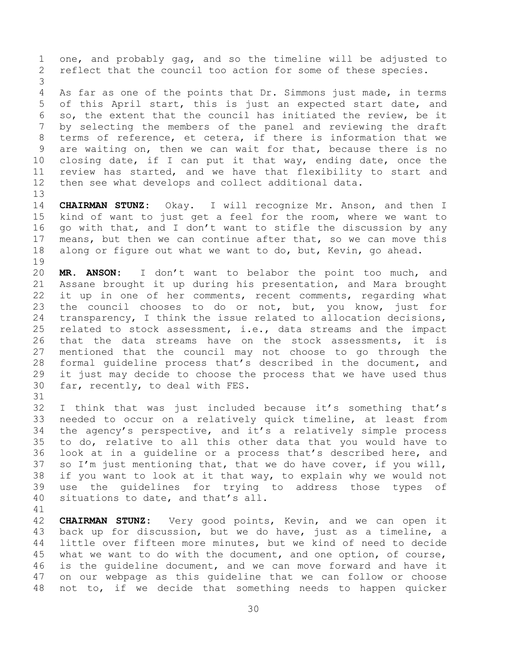1 one, and probably gag, and so the timeline will be adjusted to<br>2 reflect that the council too action for some of these species. reflect that the council too action for some of these species. 3 4 As far as one of the points that Dr. Simmons just made, in terms<br>5 of this April start, this is just an expected start date, and 5 of this April start, this is just an expected start date, and<br>6 so, the extent that the council has initiated the review, be it 6 so, the extent that the council has initiated the review, be it<br>7 by selecting the members of the panel and reviewing the draft by selecting the members of the panel and reviewing the draft 8 terms of reference, et cetera, if there is information that we<br>9 are waiting on, then we can wait for that, because there is no 9 are waiting on, then we can wait for that, because there is no<br>10 closing date, if I can put it that way, ending date, once the 10 closing date, if I can put it that way, ending date, once the<br>11 review has started, and we have that flexibility to start and 11 review has started, and we have that flexibility to start and<br>12 then see what develops and collect additional data. then see what develops and collect additional data.

13<br>14 14 **CHAIRMAN STUNZ:** Okay. I will recognize Mr. Anson, and then I 15 kind of want to just get a feel for the room, where we want to<br>16 qo with that, and I don't want to stifle the discussion by any go with that, and I don't want to stifle the discussion by any 17 means, but then we can continue after that, so we can move this<br>18 along or figure out what we want to do, but, Kevin, go ahead. along or figure out what we want to do, but, Kevin, go ahead.

19<br>20 20 **MR. ANSON:** I don't want to belabor the point too much, and 21 Assane brought it up during his presentation, and Mara brought<br>22 it up in one of her comments, recent comments, regarding what 22 it up in one of her comments, recent comments, regarding what<br>23 the council chooses to do or not, but, you know, just for the council chooses to do or not, but, you know, just for 24 transparency, I think the issue related to allocation decisions,<br>25 related to stock assessment, i.e., data streams and the impact 25 related to stock assessment, i.e., data streams and the impact<br>26 that the data streams have on the stock assessments, it is 26 that the data streams have on the stock assessments, it is<br>27 mentioned that the council may not choose to go through the 27 mentioned that the council may not choose to go through the<br>28 formal quideline process that's described in the document, and 28 formal guideline process that's described in the document, and<br>29 it just may decide to choose the process that we have used thus 29 it just may decide to choose the process that we have used thus<br>30 far, recently, to deal with FES. far, recently, to deal with FES. 31

32 I think that was just included because it's something that's<br>33 needed to occur on a relatively quick timeline, at least from 33 needed to occur on a relatively quick timeline, at least from<br>34 the agency's perspective, and it's a relatively simple process 34 the agency's perspective, and it's a relatively simple process<br>35 to do, relative to all this other data that you would have to 35 to do, relative to all this other data that you would have to<br>36 look at in a quideline or a process that's described here, and 36 look at in a guideline or a process that's described here, and<br>37 so I'm just mentioning that, that we do have cover, if you will, 37 so I'm just mentioning that, that we do have cover, if you will,<br>38 if you want to look at it that way, to explain why we would not 38 if you want to look at it that way, to explain why we would not<br>39 use the quidelines for trying to address those types of use the quidelines for trying to address those types of 40 situations to date, and that's all.

41<br>42

42 **CHAIRMAN STUNZ:** Very good points, Kevin, and we can open it 43 back up for discussion, but we do have, just as a timeline, a<br>44 little over fifteen more minutes, but we kind of need to decide 44 little over fifteen more minutes, but we kind of need to decide<br>45 what we want to do with the document, and one option, of course, 45 what we want to do with the document, and one option, of course,<br>46 is the quideline document, and we can move forward and have it 46 is the guideline document, and we can move forward and have it<br>47 on our webpage as this quideline that we can follow or choose on our webpage as this guideline that we can follow or choose 48 not to, if we decide that something needs to happen quicker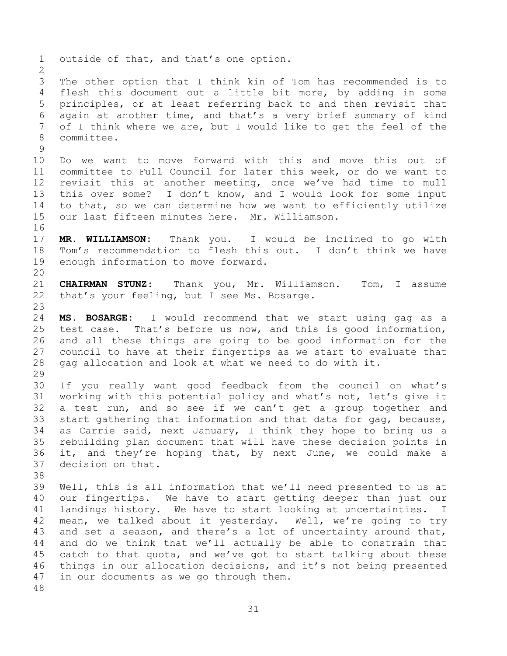1 outside of that, and that's one option.  $\frac{2}{3}$ 3 The other option that I think kin of Tom has recommended is to<br>4 flesh this document out a little bit more, by adding in some 4 flesh this document out a little bit more, by adding in some<br>5 principles, or at least referring back to and then revisit that 5 principles, or at least referring back to and then revisit that<br>6 again at another time, and that's a very brief summary of kind 6 again at another time, and that's a very brief summary of kind<br>7 of I think where we are, but I would like to get the feel of the of I think where we are, but I would like to get the feel of the 8 committee.  $\begin{array}{c} 9 \\ 10 \end{array}$ 10 Do we want to move forward with this and move this out of<br>11 committee to Full Council for later this week, or do we want to 11 committee to Full Council for later this week, or do we want to<br>12 revisit this at another meeting, once we've had time to mull 12 revisit this at another meeting, once we've had time to mull<br>13 this over some? I don't know, and I would look for some input 13 this over some? I don't know, and I would look for some input<br>14 to that, so we can determine how we want to efficiently utilize 14 to that, so we can determine how we want to efficiently utilize<br>15 our last fifteen minutes here. Mr. Williamson. our last fifteen minutes here. Mr. Williamson. 16<br>17 17 **MR. WILLIAMSON:** Thank you. I would be inclined to go with 18 Tom's recommendation to flesh this out. I don't think we have<br>19 enough information to move forward. enough information to move forward. 20<br>21 21 **CHAIRMAN STUNZ:** Thank you, Mr. Williamson. Tom, I assume<br>22 that's your feeling, but I see Ms. Bosarge. that's your feeling, but I see Ms. Bosarge. 23 24 **MS. BOSARGE:** I would recommend that we start using gag as a 25 test case. That's before us now, and this is good information,<br>26 and all these things are going to be good information for the 26 and all these things are going to be good information for the<br>27 council to have at their fingertips as we start to evaluate that 27 council to have at their fingertips as we start to evaluate that<br>28 qaq allocation and look at what we need to do with it. gag allocation and look at what we need to do with it. 29<br>30 30 If you really want good feedback from the council on what's<br>31 working with this potential policy and what's not, let's give it working with this potential policy and what's not, let's give it 32 a test run, and so see if we can't get a group together and<br>33 start gathering that information and that data for gag, because, 33 start gathering that information and that data for gag, because,<br>34 as Carrie said, next January, I think they hope to bring us a 34 as Carrie said, next January, I think they hope to bring us a<br>35 rebuilding plan document that will have these decision points in 35 rebuilding plan document that will have these decision points in<br>36 it, and they're hoping that, by next June, we could make a 36 it, and they're hoping that, by next June, we could make a 37 decision on that. decision on that. 38<br>39 Well, this is all information that we'll need presented to us at 40 our fingertips. We have to start getting deeper than just our<br>41 landings history. We have to start looking at uncertainties. I 41 landings history. We have to start looking at uncertainties. I<br>42 mean, we talked about it vesterdav. Well, we're going to trv 42 mean, we talked about it yesterday. Well, we're going to try<br>43 and set a season, and there's a lot of uncertainty around that, 43 and set a season, and there's a lot of uncertainty around that,<br>44 and do we think that we'll actually be able to constrain that 44 and do we think that we'll actually be able to constrain that<br>45 catch to that quota, and we've got to start talking about these 45 catch to that quota, and we've got to start talking about these<br>46 things in our allocation decisions, and it's not being presented 46 things in our allocation decisions, and it's not being presented<br>47 in our documents as we go through them. in our documents as we go through them. 48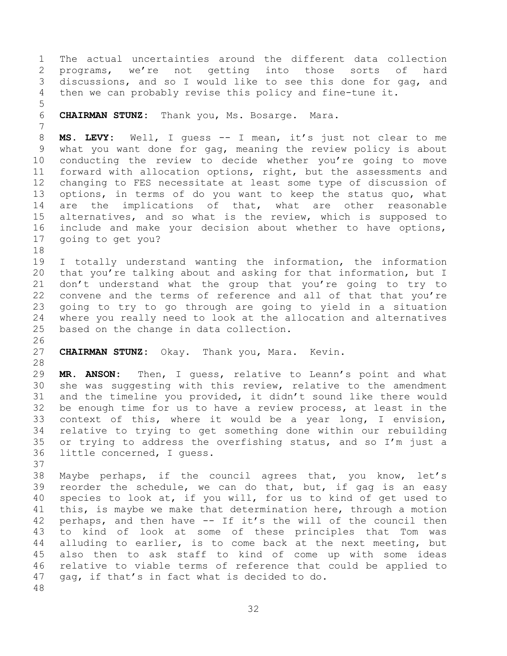1 The actual uncertainties around the different data collection<br>2 programs, we're not getting into those sorts of hard 2 programs, we're not getting into those sorts of hard<br>3 discussions, and so I would like to see this done for gag, and 3 discussions, and so I would like to see this done for gag, and<br>4 then we can probably revise this policy and fine-tune it. then we can probably revise this policy and fine-tune it.

5 6 **CHAIRMAN STUNZ:** Thank you, Ms. Bosarge. Mara.

8 **MS. LEVY:** Well, I guess -- I mean, it's just not clear to me 9 what you want done for gag, meaning the review policy is about<br>10 conducting the review to decide whether you're going to move 10 conducting the review to decide whether you're going to move<br>11 forward with allocation options, right, but the assessments and 11 forward with allocation options, right, but the assessments and<br>12 changing to FES necessitate at least some type of discussion of 12 changing to FES necessitate at least some type of discussion of<br>13 options, in terms of do you want to keep the status quo, what 13 options, in terms of do you want to keep the status quo, what<br>14 are the implications of that, what are other reasonable 14 are the implications of that, what are other reasonable<br>15 alternatives, and so what is the review, which is supposed to 15 alternatives, and so what is the review, which is supposed to<br>16 include and make your decision about whether to have options, include and make your decision about whether to have options, 17 going to get you?

18<br>19 19 I totally understand wanting the information, the information<br>20 that you're talking about and asking for that information, but I 20 that you're talking about and asking for that information, but I<br>21 don't understand what the group that you're going to try to 21 don't understand what the group that you're going to try to<br>22 convene and the terms of reference and all of that that you're 22 convene and the terms of reference and all of that that you're<br>23 qoing to try to go through are going to yield in a situation 23 going to try to go through are going to yield in a situation 24 where you really need to look at the allocation and alternatives<br>25 based on the change in data collection. based on the change in data collection.

26<br>27 **CHAIRMAN STUNZ:** Okay. Thank you, Mara. Kevin.

28<br>29

7

29 **MR. ANSON:** Then, I guess, relative to Leann's point and what 30 she was suggesting with this review, relative to the amendment<br>31 and the timeline you provided, it didn't sound like there would and the timeline you provided, it didn't sound like there would 32 be enough time for us to have a review process, at least in the<br>33 context of this, where it would be a year long, I envision, 33 context of this, where it would be a year long, I envision,<br>34 relative to trving to get something done within our rebuilding 34 relative to trying to get something done within our rebuilding<br>35 or trying to address the overfishing status, and so I'm just a 35 or trying to address the overfishing status, and so I'm just a 36 little concerned, I quess. little concerned, I quess.

37<br>38 38 Maybe perhaps, if the council agrees that, you know, let's<br>39 reorder the schedule, we can do that, but, if gag is an easy reorder the schedule, we can do that, but, if gag is an easy 40 species to look at, if you will, for us to kind of get used to  $41$  this, is maybe we make that determination here, through a motion 41 this, is maybe we make that determination here, through a motion<br>42 perhaps, and then have -- If it's the will of the council then 42 perhaps, and then have -- If it's the will of the council then<br>43 to kind of look at some of these principles that Tom was 43 to kind of look at some of these principles that Tom was<br>44 alluding to earlier, is to come back at the next meeting, but 44 alluding to earlier, is to come back at the next meeting, but<br>45 also then to ask staff to kind of come up with some ideas 45 also then to ask staff to kind of come up with some ideas<br>46 relative to viable terms of reference that could be applied to 46 relative to viable terms of reference that could be applied to<br>47 gag, if that's in fact what is decided to do. gag, if that's in fact what is decided to do. 48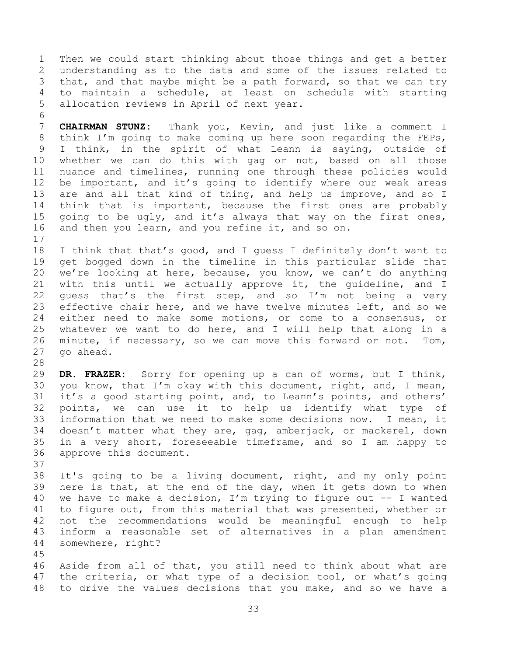1 Then we could start thinking about those things and get a better<br>2 understanding as to the data and some of the issues related to 2 understanding as to the data and some of the issues related to<br>3 that, and that maybe might be a path forward, so that we can try 3 that, and that maybe might be a path forward, so that we can try<br>4 to maintain a schedule, at least on schedule with starting 4 to maintain a schedule, at least on schedule with starting<br>5 allocation reviews in April of next year. allocation reviews in April of next year.

6<br>7 7 **CHAIRMAN STUNZ:** Thank you, Kevin, and just like a comment I 8 think I'm going to make coming up here soon regarding the FEPs,<br>9 I think, in the spirit of what Leann is saving, outside of 9 I think, in the spirit of what Leann is saying, outside of<br>10 whether we can do this with gag or not, based on all those 10 whether we can do this with gag or not, based on all those<br>11 nuance and timelines, running one through these policies would 11 nuance and timelines, running one through these policies would<br>12 be important, and it's going to identify where our weak areas 12 be important, and it's going to identify where our weak areas<br>13 are and all that kind of thing, and help us improve, and so I 13 are and all that kind of thing, and help us improve, and so I<br>14 think that is important, because the first ones are probably 14 think that is important, because the first ones are probably<br>15 going to be ugly, and it's always that way on the first ones, 15 going to be ugly, and it's always that way on the first ones,  $16$  and then you learn, and you refine it, and so on. and then you learn, and you refine it, and so on.

 $17$ <br> $18$ 18 I think that that's good, and I guess I definitely don't want to<br>19 get bogged down in the timeline in this particular slide that 19 get bogged down in the timeline in this particular slide that<br>20 we're looking at here, because, you know, we can't do anything 20 we're looking at here, because, you know, we can't do anything<br>21 with this until we actually approve it, the quideline, and I 21 with this until we actually approve it, the guideline, and I<br>22 quess that's the first step, and so I'm not being a very 22 guess that's the first step, and so I'm not being a very<br>23 effective chair here, and we have twelve minutes left, and so we effective chair here, and we have twelve minutes left, and so we 24 either need to make some motions, or come to a consensus, or<br>25 whatever we want to do here, and I will help that along in a 25 whatever we want to do here, and I will help that along in a<br>26 minute, if necessary, so we can move this forward or not. Tom, 26 minute, if necessary, so we can move this forward or not. Tom,<br>27 qo ahead. go ahead.

28<br>29 29 **DR. FRAZER:** Sorry for opening up a can of worms, but I think, 30 you know, that I'm okay with this document, right, and, I mean,<br>31 it's a good starting point, and, to Leann's points, and others' it's a good starting point, and, to Leann's points, and others' 32 points, we can use it to help us identify what type of<br>33 information that we need to make some decisions now. I mean, it 33 information that we need to make some decisions now. I mean, it<br>34 doesn't matter what they are, qaq, amberjack, or mackerel, down 34 doesn't matter what they are, gag, amberjack, or mackerel, down<br>35 in a very short, foreseeable timeframe, and so I am happy to 35 in a very short, foreseeable timeframe, and so I am happy to approve this document. approve this document.

37<br>38 38 It's going to be a living document, right, and my only point<br>39 here is that, at the end of the day, when it gets down to when here is that, at the end of the day, when it gets down to when 40 we have to make a decision, I'm trying to figure out  $-$  I wanted 41 to figure out, from this material that was presented, whether or 41 to figure out, from this material that was presented, whether or<br>42 not the recommendations would be meaningful enough to help 42 not the recommendations would be meaningful enough to help<br>43 inform a reasonable set of alternatives in a plan amendment 43 inform a reasonable set of alternatives in a plan amendment somewhere, right?

45 Aside from all of that, you still need to think about what are 47 the criteria, or what type of a decision tool, or what's going 48 to drive the values decisions that you make, and so we have a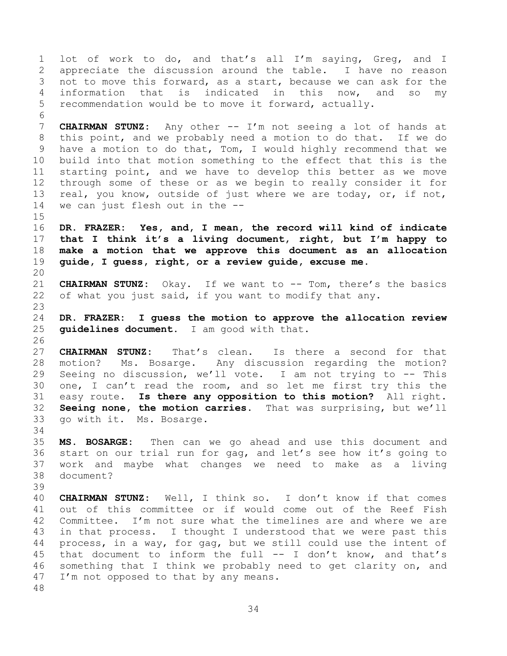1 lot of work to do, and that's all I'm saying, Greg, and I<br>2 appreciate the discussion around the table. I have no reason 2 appreciate the discussion around the table. I have no reason<br>3 not to move this forward, as a start, because we can ask for the 3 not to move this forward, as a start, because we can ask for the<br>4 information that is indicated in this now, and so my 4 information that is indicated in this now, and so my<br>5 recommendation would be to move it forward, actually. recommendation would be to move it forward, actually. 6<br>7 7 **CHAIRMAN STUNZ:** Any other -- I'm not seeing a lot of hands at 8 this point, and we probably need a motion to do that. If we do<br>9 have a motion to do that, Tom, I would highly recommend that we 9 have a motion to do that, Tom, I would highly recommend that we<br>10 build into that motion something to the effect that this is the 10 build into that motion something to the effect that this is the<br>11 starting point, and we have to develop this better as we move 11 starting point, and we have to develop this better as we move<br>12 through some of these or as we begin to really consider it for

12 through some of these or as we begin to really consider it for<br>13 real, you know, outside of just where we are today, or, if not, 13 real, you know, outside of just where we are today, or, if not,<br>14 we can just flesh out in the -we can just flesh out in the  $-$ - $15$ <br> $16$ 16 **DR. FRAZER: Yes, and, I mean, the record will kind of indicate**

<span id="page-33-0"></span>17 **that I think it's a living document, right, but I'm happy to** 18 **make a motion that we approve this document as an allocation** 19 **guide, I guess, right, or a review guide, excuse me.**

20<br>21 21 **CHAIRMAN STUNZ:** Okay. If we want to -- Tom, there's the basics<br>22 of what you just said, if you want to modify that any. of what you just said, if you want to modify that any.

24 **DR. FRAZER: I guess the motion to approve the allocation review guidelines document.** I am good with that.

26<br>27 27 **CHAIRMAN STUNZ:** That's clean. Is there a second for that 28 motion? Ms. Bosarge. Any discussion regarding the motion?<br>29 Seeing no discussion, we'll vote. I am not trying to -- This 29 Seeing no discussion, we'll vote. I am not trying to -- This<br>30 one, I can't read the room, and so let me first try this the 30 one, I can't read the room, and so let me first try this the<br>31 easy route. Is there any opposition to this motion? All right. 31 easy route. **Is there any opposition to this motion?** All right. 32 **Seeing none, the motion carries.** That was surprising, but we'll go with it. Ms. Bosarge.

<span id="page-33-1"></span>34<br>35 35 **MS. BOSARGE:** Then can we go ahead and use this document and 36 start on our trial run for gag, and let's see how it's going to<br>37 work and maybe what changes we need to make as a living 37 work and maybe what changes we need to make as a living document? 39

40 **CHAIRMAN STUNZ:** Well, I think so. I don't know if that comes 41 out of this committee or if would come out of the Reef Fish<br>42 Committee. I'm not sure what the timelines are and where we are 42 Committee. I'm not sure what the timelines are and where we are<br>43 in that process. I thought I understood that we were past this 43 in that process. I thought I understood that we were past this<br>44 process, in a way, for gag, but we still could use the intent of 44 process, in a way, for gag, but we still could use the intent of  $45$  that document to inform the full  $--$  I don't know, and that's 45 that document to inform the full  $--$  I don't know, and that's 46 something that I think we probably need to get clarity on, and 46 something that I think we probably need to get clarity on, and  $47$  I'm not opposed to that by any means. I'm not opposed to that by any means.

48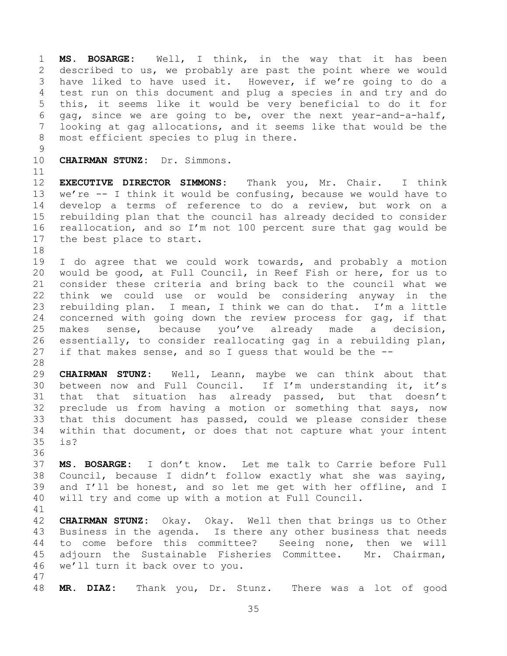1 **MS. BOSARGE:** Well, I think, in the way that it has been 2 described to us, we probably are past the point where we would<br>3 have liked to have used it. However, if we're going to do a 3 have liked to have used it. However, if we're going to do a<br>4 test run on this document and plug a species in and try and do 4 test run on this document and plug a species in and try and do<br>5 this, it seems like it would be very beneficial to do it for 5 this, it seems like it would be very beneficial to do it for<br>6 qaq, since we are going to be, over the next vear-and-a-half, 6 gag, since we are going to be, over the next year-and-a-half,<br>7 looking at gag allocations, and it seems like that would be the looking at gag allocations, and it seems like that would be the 8 most efficient species to plug in there.

 $\begin{array}{c} 9 \\ 10 \end{array}$ 

10 **CHAIRMAN STUNZ:** Dr. Simmons.

11<br>12 12 **EXECUTIVE DIRECTOR SIMMONS:** Thank you, Mr. Chair. I think 13 we're -- I think it would be confusing, because we would have to<br>14 develop a terms of reference to do a review, but work on a 14 develop a terms of reference to do a review, but work on a<br>15 rebuilding plan that the council has already decided to consider 15 rebuilding plan that the council has already decided to consider<br>16 reallocation, and so I'm not 100 percent sure that gag would be reallocation, and so I'm not 100 percent sure that gag would be 17 the best place to start.

18<br>19

19 I do agree that we could work towards, and probably a motion<br>20 would be good, at Full Council, in Reef Fish or here, for us to 20 would be good, at Full Council, in Reef Fish or here, for us to<br>21 consider these criteria and bring back to the council what we 21 consider these criteria and bring back to the council what we<br>22 think we could use or would be considering anyway in the 22 think we could use or would be considering anyway in the<br>23 rebuilding plan. I mean, I think we can do that. I'm a little rebuilding plan. I mean, I think we can do that. I'm a little 24 concerned with going down the review process for gag, if that<br>25 makes sense, because vou've already made a decision, 25 makes sense, because you've already made a decision,<br>26 essentially, to consider reallocating gag in a rebuilding plan, 26 essentially, to consider reallocating gag in a rebuilding plan,  $27$  if that makes sense, and so I quess that would be the  $-$ if that makes sense, and so I quess that would be the  $-$ -

28<br>29

29 **CHAIRMAN STUNZ:** Well, Leann, maybe we can think about that 30 between now and Full Council. If I'm understanding it, it's<br>31 that that situation has already passed, but that doesn't that that situation has already passed, but that doesn't 32 preclude us from having a motion or something that says, now<br>33 that this document has passed, could we please consider these 33 that this document has passed, could we please consider these<br>34 within that document, or does that not capture what your intent 34 within that document, or does that not capture what your intent<br>35 is? is?

36<br>37 37 **MS. BOSARGE:** I don't know. Let me talk to Carrie before Full 38 Council, because I didn't follow exactly what she was saying,<br>39 and I'll be honest, and so let me get with her offline, and I and I'll be honest, and so let me get with her offline, and I 40 will try and come up with a motion at Full Council.

41<br>42

42 **CHAIRMAN STUNZ:** Okay. Okay. Well then that brings us to Other<br>43 Business in the agenda. Is there any other business that needs 43 Business in the agenda. Is there any other business that needs<br>44 to come before this committee? Seeing none, then we will 44 to come before this committee? Seeing none, then we will<br>45 adjourn the Sustainable Fisheries Committee. Mr. Chairman, 45 adjourn the Sustainable Fisheries Committee. Mr. Chairman,<br>46 we'll turn it back over to you. we'll turn it back over to you.

47

48 **MR. DIAZ:** Thank you, Dr. Stunz. There was a lot of good